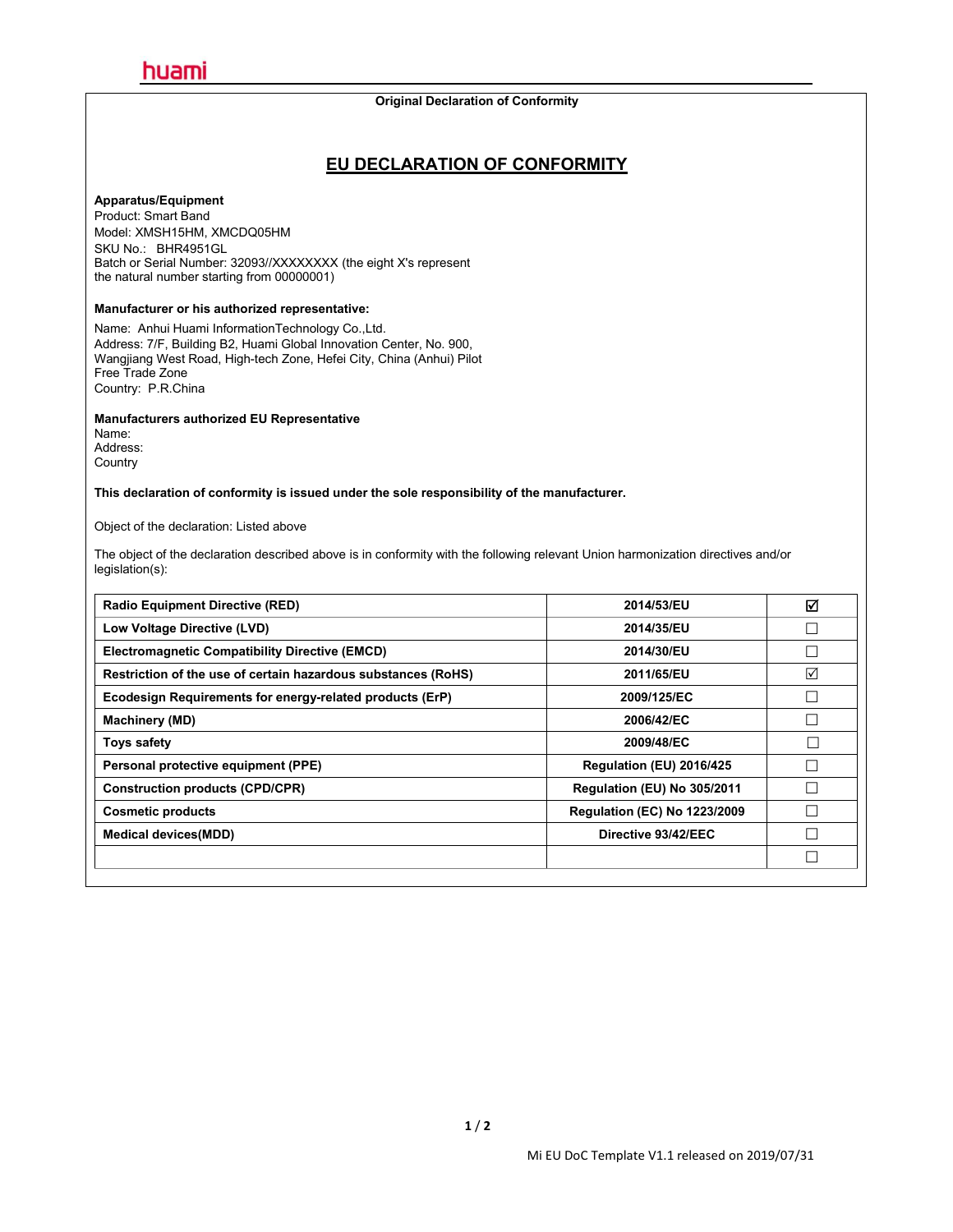#### **Original Declaration of Conformity**

### **EU DECLARATION OF CONFORMITY**

#### **Apparatus/Equipment**

Product: Smart Band Model: XMSH15HM, XMCDQ05HM SKU No.: BHR4951GL Batch or Serial Number: 32093//XXXXXXX (the eight X's represent the natural number starting from 00000001)

#### **Manufacturer or his authorized representative:**

Name: Anhui Huami InformationTechnology Co.,Ltd. Address: 7/F, Building B2, Huami Global Innovation Center, No.900, Wangjiang West Road, High-tech Zone, Hefei City, China (Anhui) Pilot Free Trade Zone Country: P.R.China

**Manufacturers authorized EU Representative**

Name: Address: Country

**This declaration of conformity is issued under the sole responsibility of the manufacturer.**

#### Object of the declaration: Listed above

The object of the declaration described above is in conformity with the following relevant Union harmonization directives and/or legislation(s):

| <b>Radio Equipment Directive (RED)</b>                        | 2014/53/EU                          | ☑      |
|---------------------------------------------------------------|-------------------------------------|--------|
| Low Voltage Directive (LVD)                                   | 2014/35/EU                          | $\Box$ |
| <b>Electromagnetic Compatibility Directive (EMCD)</b>         | 2014/30/EU                          |        |
| Restriction of the use of certain hazardous substances (RoHS) | 2011/65/EU                          | ☑      |
| Ecodesign Requirements for energy-related products (ErP)      | 2009/125/EC                         |        |
| <b>Machinery (MD)</b>                                         | 2006/42/EC                          |        |
| Toys safety                                                   | 2009/48/EC                          |        |
| Personal protective equipment (PPE)                           | Regulation (EU) 2016/425            |        |
| <b>Construction products (CPD/CPR)</b>                        | Regulation (EU) No 305/2011         |        |
| <b>Cosmetic products</b>                                      | <b>Regulation (EC) No 1223/2009</b> |        |
| <b>Medical devices (MDD)</b>                                  | Directive 93/42/EEC                 | Г      |
|                                                               |                                     | $\Box$ |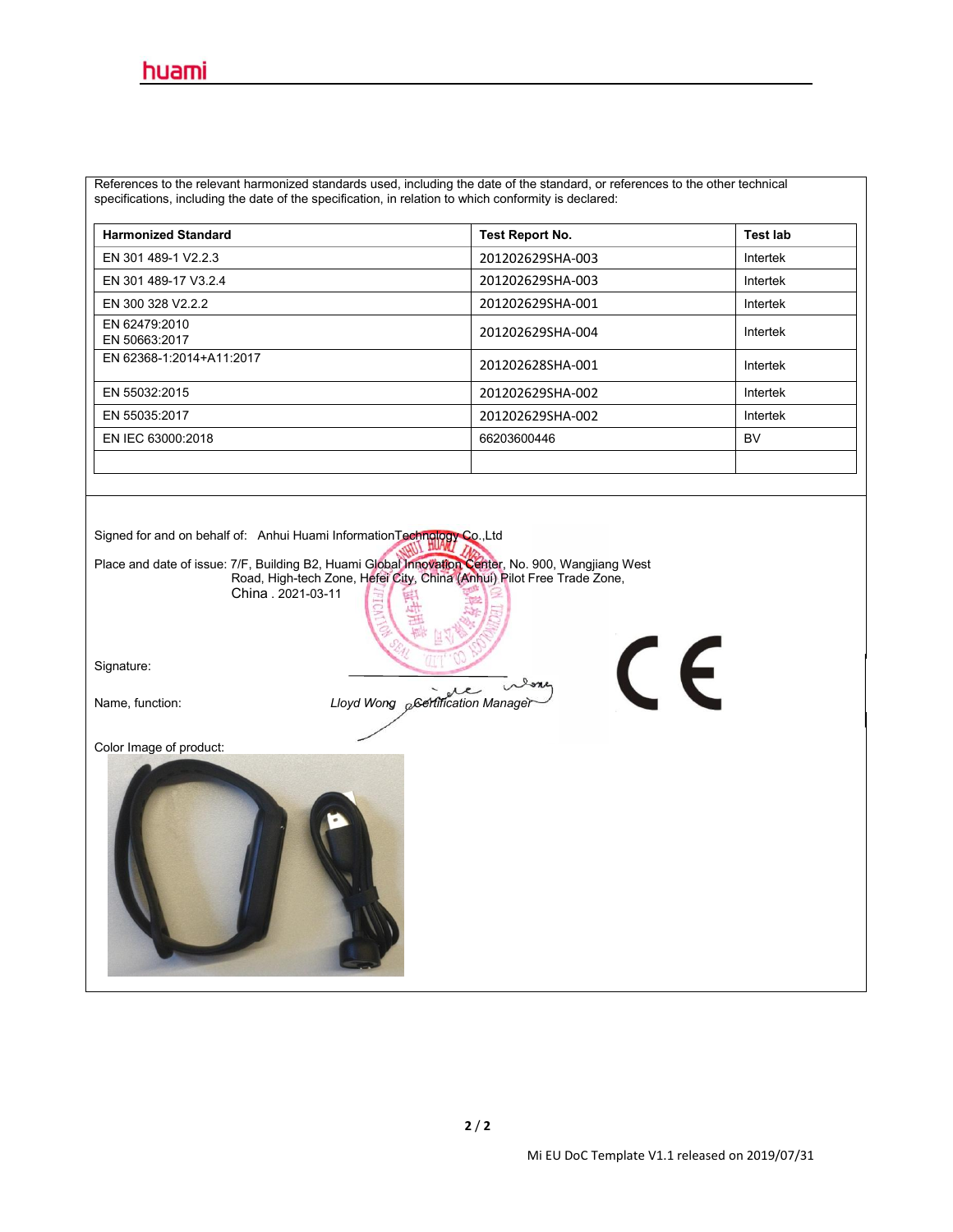References to the relevant harmonized standards used, including the date of the standard, or references to the other technical specifications, including the date of the specification, in relation to which conformity is declared:

| <b>Harmonized Standard</b>     | <b>Test Report No.</b> | <b>Test lab</b> |
|--------------------------------|------------------------|-----------------|
| EN 301 489-1 V2.2.3            | 201202629SHA-003       | Intertek        |
| EN 301 489-17 V3.2.4           | 201202629SHA-003       | Intertek        |
| EN 300 328 V2.2.2              | 201202629SHA-001       | Intertek        |
| EN 62479:2010<br>EN 50663:2017 | 201202629SHA-004       | Intertek        |
| EN 62368-1:2014+A11:2017       | 201202628SHA-001       | Intertek        |
| EN 55032:2015                  | 201202629SHA-002       | Intertek        |
| EN 55035:2017                  | 201202629SHA-002       | Intertek        |
| EN IEC 63000:2018              | 66203600446            | BV              |
|                                |                        |                 |

Signed for and on behalf of: Anhui Huami InformationTechnology Co.,Ltd

Place and date of issue: 7/F, Building B2, Huami Global Innovation Center, No. 900, Wangjiang West

Road, High-tech Zone, Hefei City, China (Anhui) Pilot Free Trade Zone, China . 2021-03-11

Signature:

œ Name, function: *Lloyd Wong Certification Manager* 

Color Image of product:



 $\epsilon$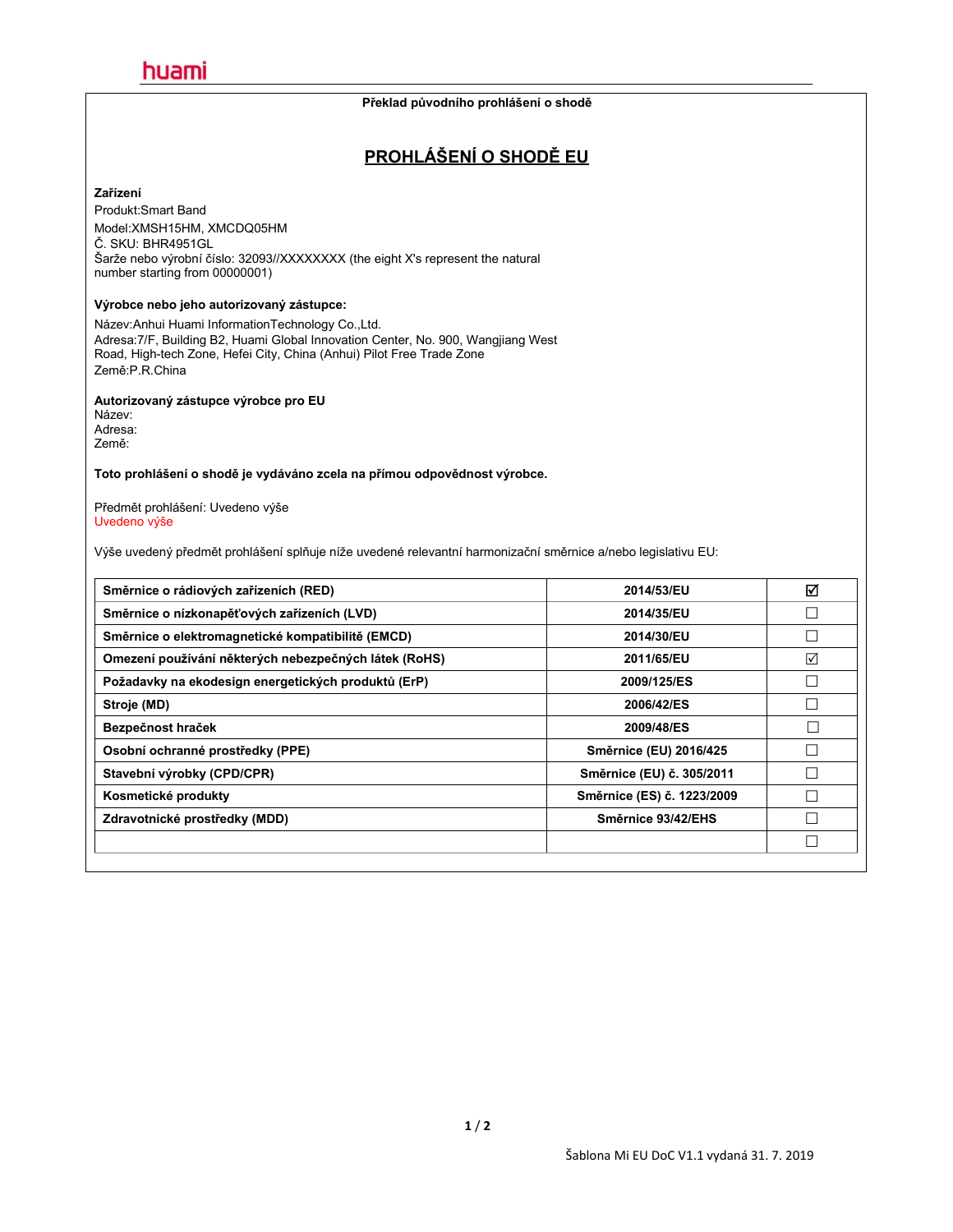#### **Překlad původního prohlášení o shodě**

## **PROHLÁŠENÍ O SHODĚ EU**

#### **Zařízení**

Produkt:Smart Band Model:XMSH15HM, XMCDQ05HM Č. SKU: BHR4951GL Šarže nebo výrobní číslo: 32093//XXXXXXX (the eight X's represent the natural number starting from 00000001)

#### **Výrobce nebo jeho autorizovaný zástupce:**

Název:Anhui Huami InformationTechnology Co.,Ltd. Adresa:7/F, Building B2, Huami Global Innovation Center, No.900, Wangjiang West Road, High-tech Zone, Hefei City, China (Anhui) Pilot Free Trade Zone Země:P.R.China

### **Autorizovaný zástupce výrobce pro EU**

Název: Adresa: Země:

**Toto prohlášení o shodě je vydáváno zcela na přímou odpovědnost výrobce.**

Předmět prohlášení: Uvedeno výše Uvedeno výše

Výše uvedený předmět prohlášení splňuje níže uvedené relevantní harmonizační směrnice a/nebo legislativu EU:

| 2014/53/EU                 | ☑ |
|----------------------------|---|
| 2014/35/EU                 |   |
| 2014/30/EU                 |   |
| 2011/65/EU                 | ☑ |
| 2009/125/ES                |   |
| 2006/42/ES                 |   |
| 2009/48/ES                 |   |
| Směrnice (EU) 2016/425     |   |
| Směrnice (EU) č. 305/2011  |   |
| Směrnice (ES) č. 1223/2009 |   |
| Směrnice 93/42/EHS         |   |
|                            |   |
|                            |   |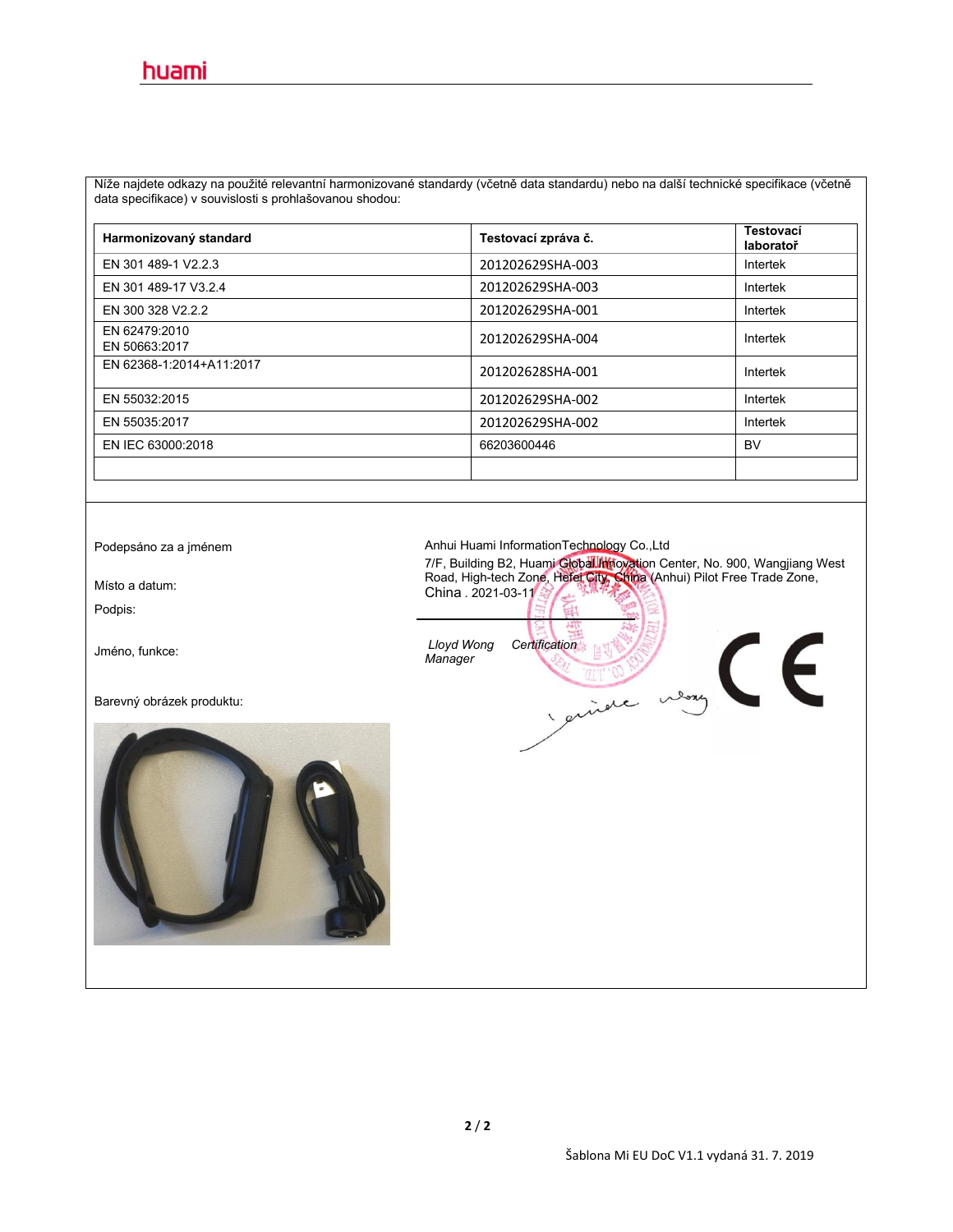Níže najdete odkazy na použité relevantní harmonizované standardy (včetně data standardu) nebo na další technické specifikace (včetně data specifikace) v souvislosti s prohlašovanou shodou:

| Harmonizovaný standard         | Testovací zpráva č. | <b>Testovací</b><br>laboratoř |
|--------------------------------|---------------------|-------------------------------|
| EN 301 489-1 V2.2.3            | 201202629SHA-003    | Intertek                      |
| EN 301 489-17 V3.2.4           | 201202629SHA-003    | Intertek                      |
| EN 300 328 V2.2.2              | 201202629SHA-001    | Intertek                      |
| EN 62479:2010<br>EN 50663:2017 | 201202629SHA-004    | Intertek                      |
| EN 62368-1:2014+A11:2017       | 201202628SHA-001    | Intertek                      |
| EN 55032:2015                  | 201202629SHA-002    | Intertek                      |
| EN 55035:2017                  | 201202629SHA-002    | Intertek                      |
| EN IEC 63000:2018              | 66203600446         | <b>BV</b>                     |
|                                |                     |                               |

Podpis:

Barevný obrázek produktu:



Podepsáno za a jménem **Anhui Huami InformationTechnology Co.,Ltd** 

7/F, Building B2, Huami Global Innovation Center, No. 900, Wangjiang West<br>Road, High-tech Zone, Hefer City, China (Anhui) Pilot Free Trade Zone,<br>China - 2021, 03, 14, 2021, 2021, 2021, 2021, 2021, 2021, 2021, 2021, 2021, 2 China . 2021-03-11

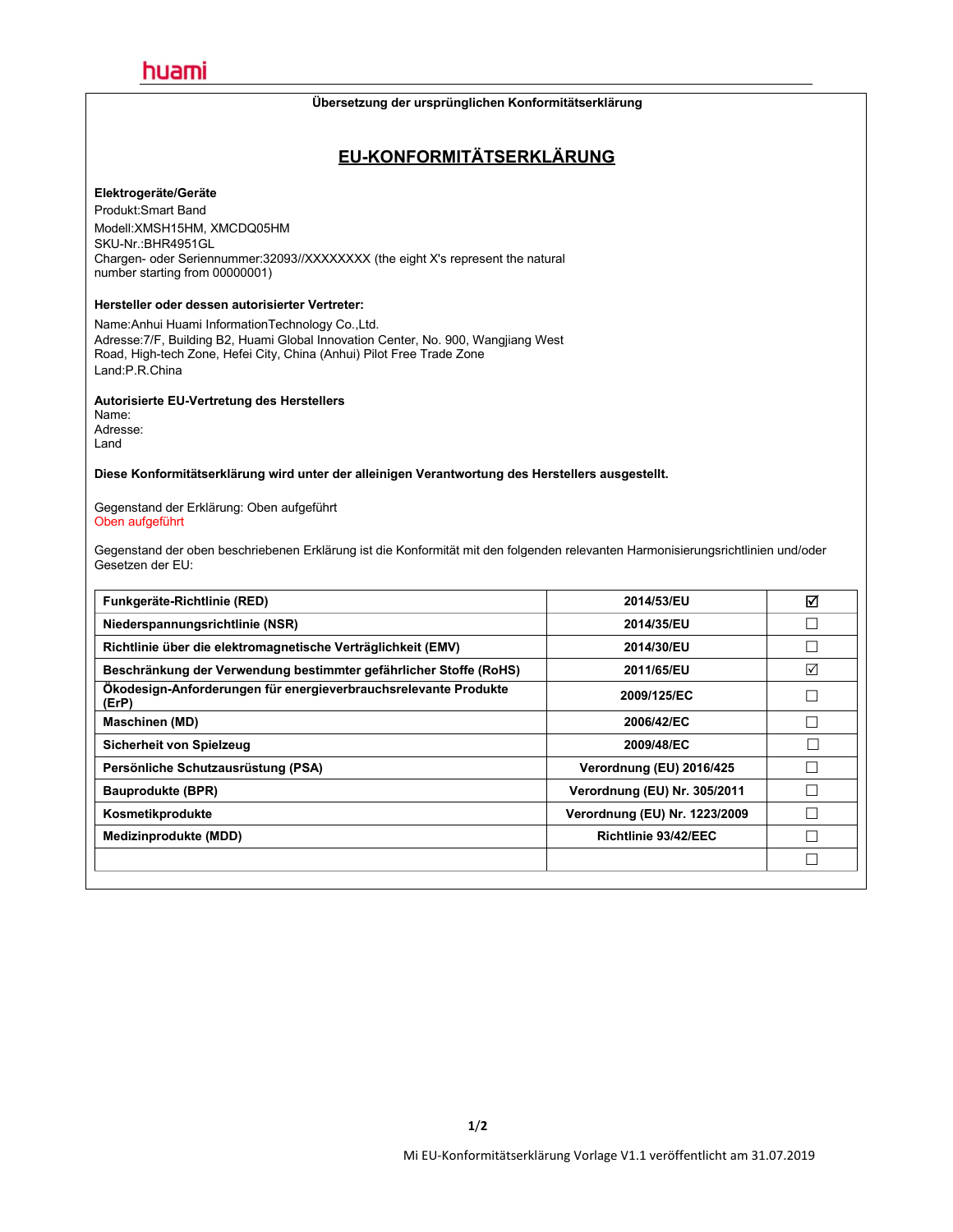#### **Übersetzung der ursprünglichen Konformitätserklärung**

## **EU-KONFORMITÄTSERKLÄRUNG**

#### **Elektrogeräte/Geräte**

Produkt:Smart Band Modell:XMSH15HM, XMCDQ05HM SKU-Nr.:BHR4951GL Chargen- oder Seriennummer:32093//XXXXXXX (the eight X's represent the natural number starting from 00000001)

#### **Hersteller oder dessen autorisierter Vertreter:**

Name:Anhui Huami InformationTechnology Co.,Ltd. Adresse:7/F, Building B2, Huami Global Innovation Center, No.900, Wangjiang West Road, High-tech Zone, Hefei City, China (Anhui) Pilot Free Trade Zone Land:P.R.China

#### **Autorisierte EU-Vertretung des Herstellers**

Name: Adresse: Land

**Diese Konformitätserklärung wird unter der alleinigen Verantwortung des Herstellers ausgestellt.**

Gegenstand der Erklärung: Oben aufgeführt Oben aufgeführt

Gegenstand der oben beschriebenen Erklärung ist die Konformität mit den folgenden relevanten Harmonisierungsrichtlinien und/oder<br>Gesetzen der EU:

| Funkgeräte-Richtlinie (RED)                                              | 2014/53/EU                    | ☑ |
|--------------------------------------------------------------------------|-------------------------------|---|
| Niederspannungsrichtlinie (NSR)                                          | 2014/35/EU                    |   |
| Richtlinie über die elektromagnetische Verträglichkeit (EMV)             | 2014/30/EU                    |   |
| Beschränkung der Verwendung bestimmter gefährlicher Stoffe (RoHS)        | 2011/65/EU                    | ☑ |
| Ökodesign-Anforderungen für energieverbrauchsrelevante Produkte<br>(ErP) | 2009/125/EC                   |   |
| Maschinen (MD)                                                           | 2006/42/EC                    |   |
| Sicherheit von Spielzeug                                                 | 2009/48/EC                    | Г |
| Persönliche Schutzausrüstung (PSA)                                       | Verordnung (EU) 2016/425      |   |
| <b>Bauprodukte (BPR)</b>                                                 | Verordnung (EU) Nr. 305/2011  |   |
| Kosmetikprodukte                                                         | Verordnung (EU) Nr. 1223/2009 |   |
| Medizinprodukte (MDD)                                                    | Richtlinie 93/42/EEC          |   |
|                                                                          |                               |   |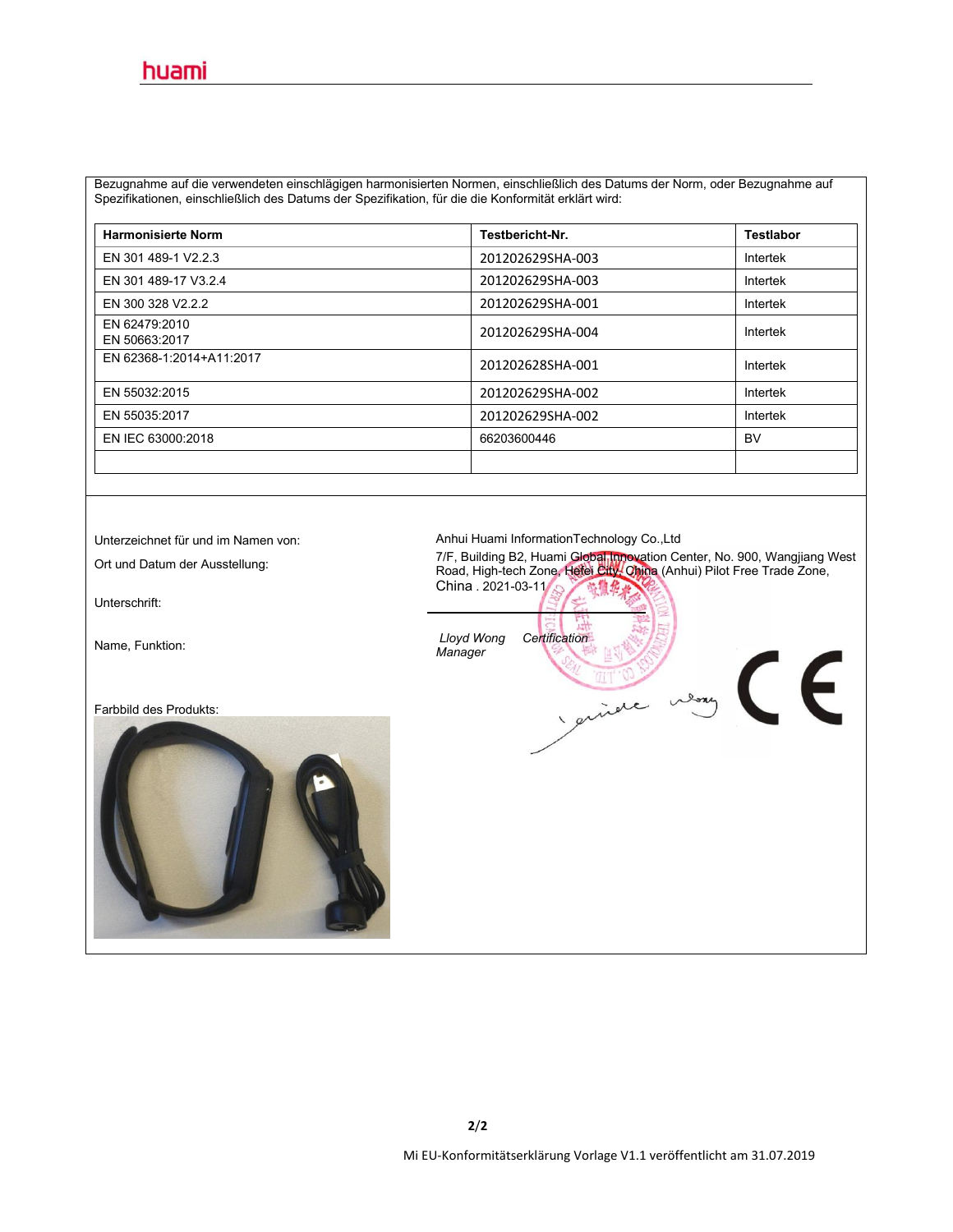Bezugnahme auf die verwendeten einschlägigen harmonisierten Normen, einschließlich des Datums der Norm, oder Bezugnahme auf Spezifikationen, einschließlich des Datums der Spezifikation, für die die Konformität erklärt wird:

| <b>Harmonisierte Norm</b>      | Testbericht-Nr.  | <b>Testlabor</b> |
|--------------------------------|------------------|------------------|
| EN 301 489-1 V2.2.3            | 201202629SHA-003 | Intertek         |
| EN 301 489-17 V3.2.4           | 201202629SHA-003 | Intertek         |
| EN 300 328 V2.2.2              | 201202629SHA-001 | Intertek         |
| EN 62479:2010<br>EN 50663:2017 | 201202629SHA-004 | Intertek         |
| EN 62368-1:2014+A11:2017       | 201202628SHA-001 | Intertek         |
| EN 55032:2015                  | 201202629SHA-002 | Intertek         |
| EN 55035:2017                  | 201202629SHA-002 | Intertek         |
| EN IEC 63000:2018              | 66203600446      | <b>BV</b>        |
|                                |                  |                  |

Unterschrift:

Farbbild des Produkts:



Unterzeichnet für und im Namen von: Anhui Huami InformationTechnology Co.,Ltd

Ort und Datum der Ausstellung: 7/F, Building B2, Huami Global Innovation Center, No. 900, Wangjiang West<br>Road, High-tech Zone, <del>Khina (Anhui</del>) Pilot Free Trade Zone, New York of the Road, High-tech Zone, Khina China . 2021-03-11 2 / 登位步

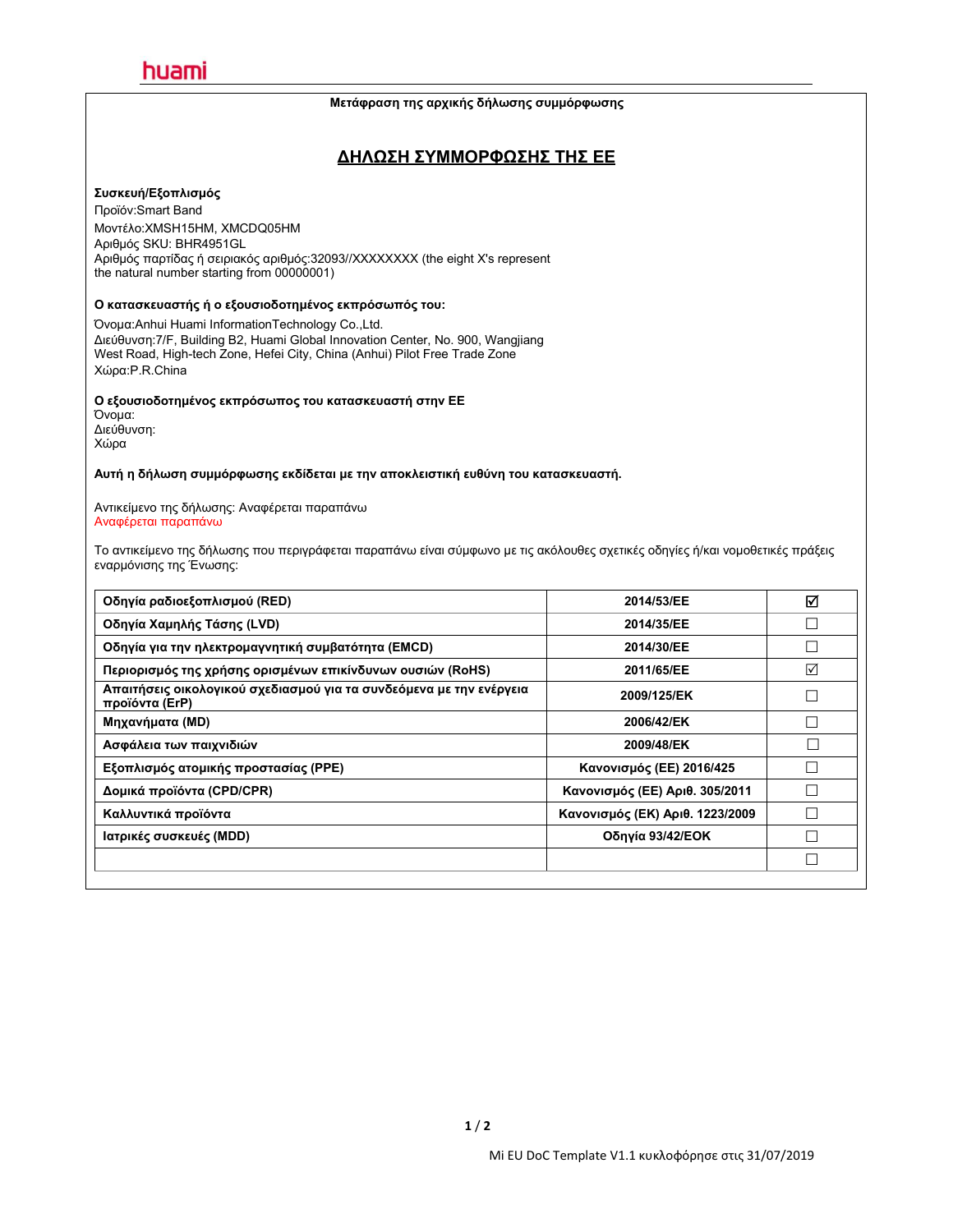#### **Μετάφραση της αρχικής δήλωσης συμμόρφωσης**

### **ΔΗΛΩΣΗ ΣΥΜΜΟΡΦΩΣΗΣ ΤΗΣ ΕΕ**

#### **Συσκευή/Εξοπλισμός**

Προϊόν:Smart Band Μοντέλο:XMSH15HM, XMCDQ05HM Αριθμός SKU: BHR4951GL Αριθμός παρτίδας ή σειριακός αριθμός:32093//XXXXXXXX (the eight X's represent the natural number starting from 00000001)

### **Ο κατασκευαστής ή ο εξουσιοδοτημένος εκπρόσωπός του:**

Όνομα:Anhui Huami InformationTechnology Co.,Ltd. Διεύθυνση:7/F, Building B2, Huami Global Innovation Center, No.900, Wangjiang West Road, High-tech Zone, Hefei City, China (Anhui) Pilot Free Trade Zone Χώρα:P.R.China

#### **Ο εξουσιοδοτημένος εκπρόσωπος του κατασκευαστή στην ΕΕ**

Όνομα: Διεύθυνση: Χώρα

**Αυτή η δήλωση συμμόρφωσης εκδίδεται με την αποκλειστική ευθύνη του κατασκευαστή.**

Αντικείμενο της δήλωσης: Αναφέρεται παραπάνω Αναφέρεται παραπάνω

Το αντικείμενο της δήλωσης που περιγράφεται παραπάνω είναι σύμφωνο με τις ακόλουθες σχετικές οδηγίες ή/και νομοθετικές πράξεις εναρμόνισης της Ένωσης:

| Οδηγία ραδιοεξοπλισμού (RED)                                                          | 2014/53/EE                      | ☑               |
|---------------------------------------------------------------------------------------|---------------------------------|-----------------|
| Οδηγία Χαμηλής Τάσης (LVD)                                                            | 2014/35/EE                      |                 |
| Οδηγία για την ηλεκτρομαγνητική συμβατότητα (EMCD)                                    | 2014/30/EE                      |                 |
| Περιορισμός της χρήσης ορισμένων επικίνδυνων ουσιών (RoHS)                            | 2011/65/EE                      | $\triangledown$ |
| Απαιτήσεις οικολογικού σχεδιασμού για τα συνδεόμενα με την ενέργεια<br>προϊόντα (ErP) | 2009/125/EK                     |                 |
| Μηχανήματα (MD)                                                                       | 2006/42/EK                      | П               |
| Ασφάλεια των παιχνιδιών                                                               | 2009/48/EK                      |                 |
| Εξοπλισμός ατομικής προστασίας (PPE)                                                  | Κανονισμός (ΕΕ) 2016/425        |                 |
| Δομικά προϊόντα (CPD/CPR)                                                             | Κανονισμός (ΕΕ) Αριθ. 305/2011  | Г               |
| Καλλυντικά προϊόντα                                                                   | Κανονισμός (ΕΚ) Αριθ. 1223/2009 |                 |
| Ιατρικές συσκευές (MDD)                                                               | Οδηγία 93/42/ΕΟΚ                |                 |
|                                                                                       |                                 |                 |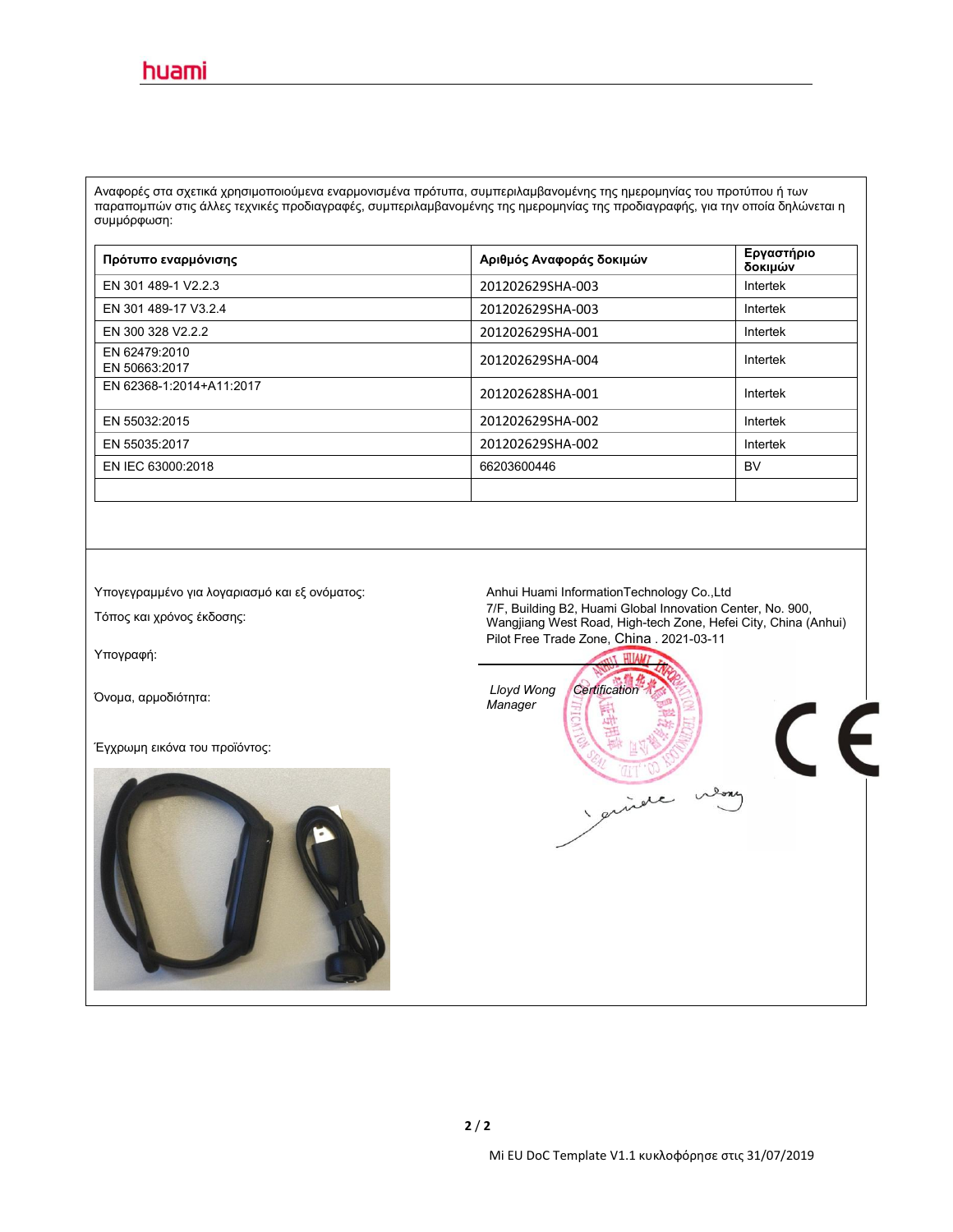Αναφορές στα σχετικά χρησιμοποιούμενα εναρμονισμένα πρότυπα, συμπεριλαμβανομένης της ημερομηνίας του προτύπου ή των παραπομπών στις άλλες τεχνικές προδιαγραφές, συμπεριλαμβανομένης της ημερομηνίας της προδιαγραφής, για την οποία δηλώνεται η συμμόρφωση:

| Πρότυπο εναρμόνισης            | Αριθμός Αναφοράς δοκιμών | Εργαστήριο<br>δοκιμών |
|--------------------------------|--------------------------|-----------------------|
| EN 301 489-1 V2.2.3            | 201202629SHA-003         | Intertek              |
| EN 301 489-17 V3.2.4           | 201202629SHA-003         | Intertek              |
| EN 300 328 V2.2.2              | 201202629SHA-001         | Intertek              |
| EN 62479:2010<br>EN 50663:2017 | 201202629SHA-004         | Intertek              |
| EN 62368-1:2014+A11:2017       | 201202628SHA-001         | Intertek              |
| EN 55032:2015                  | 201202629SHA-002         | Intertek              |
| EN 55035:2017                  | 201202629SHA-002         | Intertek              |
| EN IEC 63000:2018              | 66203600446              | <b>BV</b>             |
|                                |                          |                       |

Υπογεγραμμένο για λογαριασμό και εξ ονόματος: Anhui Huami InformationTechnology Co.,Ltd

Υπογραφή:

Έγχρωμη εικόνα του προϊόντος:



Τόπος και χρόνος έκδοσης: 7/F, Building B2, Huami Global Innovation Center, No. 900, Wangjiang West Road, High-tech Zone, Hefei City, China (Anhui) Pilot Free Trade Zone, China . 2021-03-11

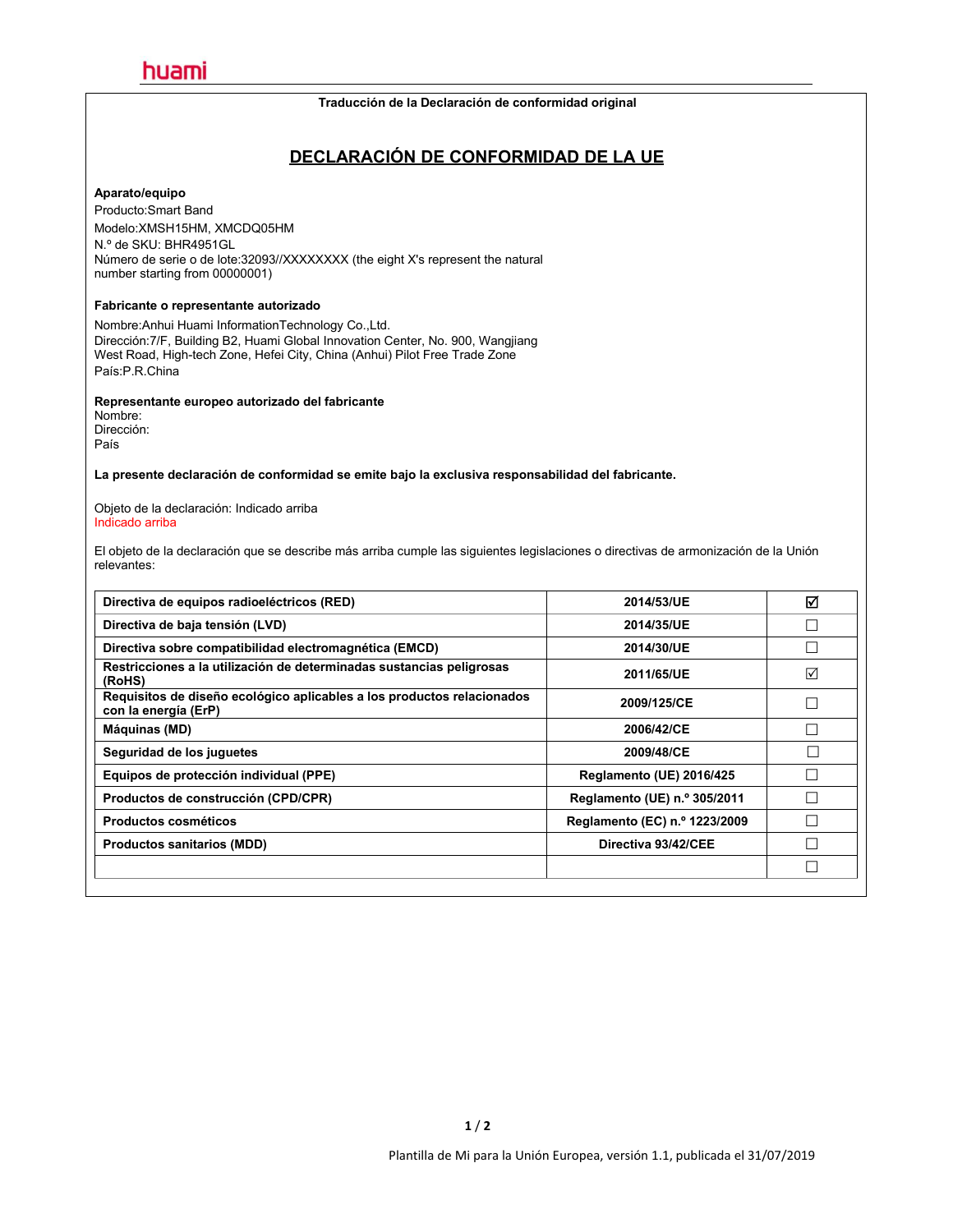#### **Traducción de la Declaración de conformidad original**

### **DECLARACIÓN DE CONFORMIDAD DE LA UE**

#### **Aparato/equipo**

Producto:Smart Band Modelo:XMSH15HM, XMCDQ05HM N.º de SKU: BHR4951GL Número de serie o de lote:32093//XXXXXXXX (the eight X's represent the natural number starting from 00000001)

#### **Fabricante o representante autorizado**

Nombre:Anhui Huami InformationTechnology Co.,Ltd. Dirección:7/F, Building B2, Huami Global Innovation Center, No.900, Wangjiang West Road, High-tech Zone, Hefei City, China (Anhui) Pilot Free Trade Zone País:P.R.China

**Representante europeo autorizado del fabricante**

Nombre: Dirección: País

**La presente declaración de conformidad se emite bajo laexclusiva responsabilidad del fabricante.**

Objeto de la declaración: Indicado arriba Indicado arriba

El objeto de la declaración que se describe más arriba cumple las siguientes legislaciones o directivas de armonización de la Unión relevantes:

| Directiva de equipos radioeléctricos (RED)                                                     | 2014/53/UE                      | ☑      |
|------------------------------------------------------------------------------------------------|---------------------------------|--------|
| Directiva de baja tensión (LVD)                                                                | 2014/35/UE                      |        |
| Directiva sobre compatibilidad electromagnética (EMCD)                                         | 2014/30/UE                      | $\Box$ |
| Restricciones a la utilización de determinadas sustancias peligrosas<br>(RoHS)                 | 2011/65/UE                      | ☑      |
| Requisitos de diseño ecológico aplicables a los productos relacionados<br>con la energía (ErP) | 2009/125/CE                     |        |
| Máquinas (MD)                                                                                  | 2006/42/CE                      | Г      |
| Seguridad de los juguetes                                                                      | 2009/48/CE                      |        |
| Equipos de protección individual (PPE)                                                         | <b>Reglamento (UE) 2016/425</b> |        |
| Productos de construcción (CPD/CPR)                                                            | Reglamento (UE) n.º 305/2011    |        |
| <b>Productos cosméticos</b>                                                                    | Reglamento (EC) n.º 1223/2009   | Г      |
| <b>Productos sanitarios (MDD)</b>                                                              | Directiva 93/42/CEE             |        |
|                                                                                                |                                 | $\Box$ |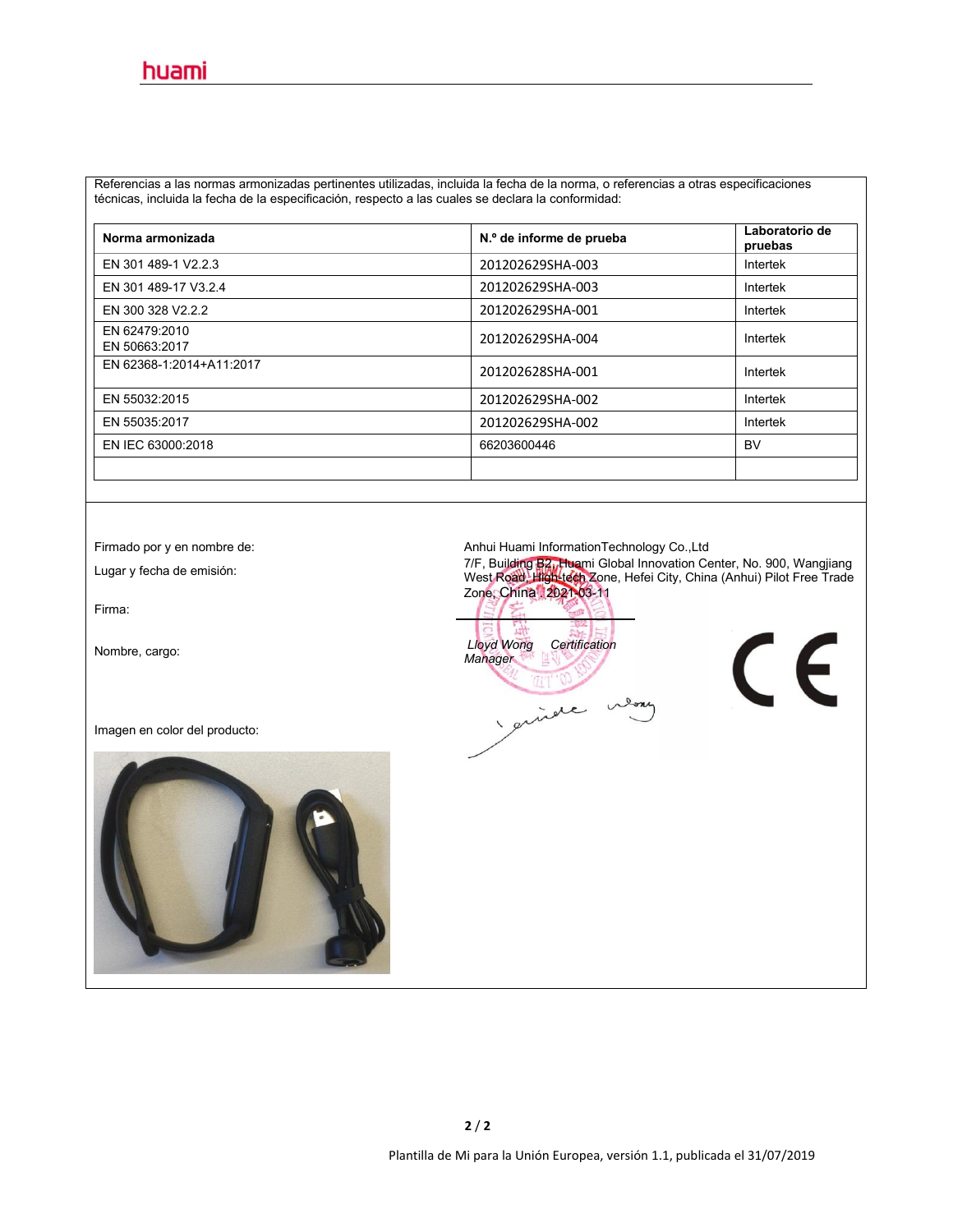Referencias a las normas armonizadas pertinentes utilizadas, incluida la fecha de la norma, o referencias a otras especificaciones técnicas, incluida la fecha de la especificación, respecto a las cuales se declara la conformidad:

| Norma armonizada               | N.º de informe de prueba | Laboratorio de<br>pruebas |
|--------------------------------|--------------------------|---------------------------|
| EN 301 489-1 V2.2.3            | 201202629SHA-003         | Intertek                  |
| EN 301 489-17 V3.2.4           | 201202629SHA-003         | Intertek                  |
| EN 300 328 V2.2.2              | 201202629SHA-001         | Intertek                  |
| EN 62479:2010<br>EN 50663:2017 | 201202629SHA-004         | Intertek                  |
| EN 62368-1:2014+A11:2017       | 201202628SHA-001         | Intertek                  |
| EN 55032:2015                  | 201202629SHA-002         | Intertek                  |
| EN 55035:2017                  | 201202629SHA-002         | Intertek                  |
| EN IEC 63000:2018              | 66203600446              | <b>BV</b>                 |
|                                |                          |                           |

Firma:

Imagen en color del producto:



Firmado por y en nombre de:<br>Anhui Huami InformationTechnology Co.,Ltd

Lugar <sup>y</sup> fecha de emisión: 7/F, Building B2, Huami Global Innovation Center, No.900, Wangjiang West Road, High-tech Zone, Hefei City, China (Anhui) Pilot Free Trade Zone, China . 2021-03-11

Nombre, cargo: *Lloyd Wong Certification Manager* prince nemy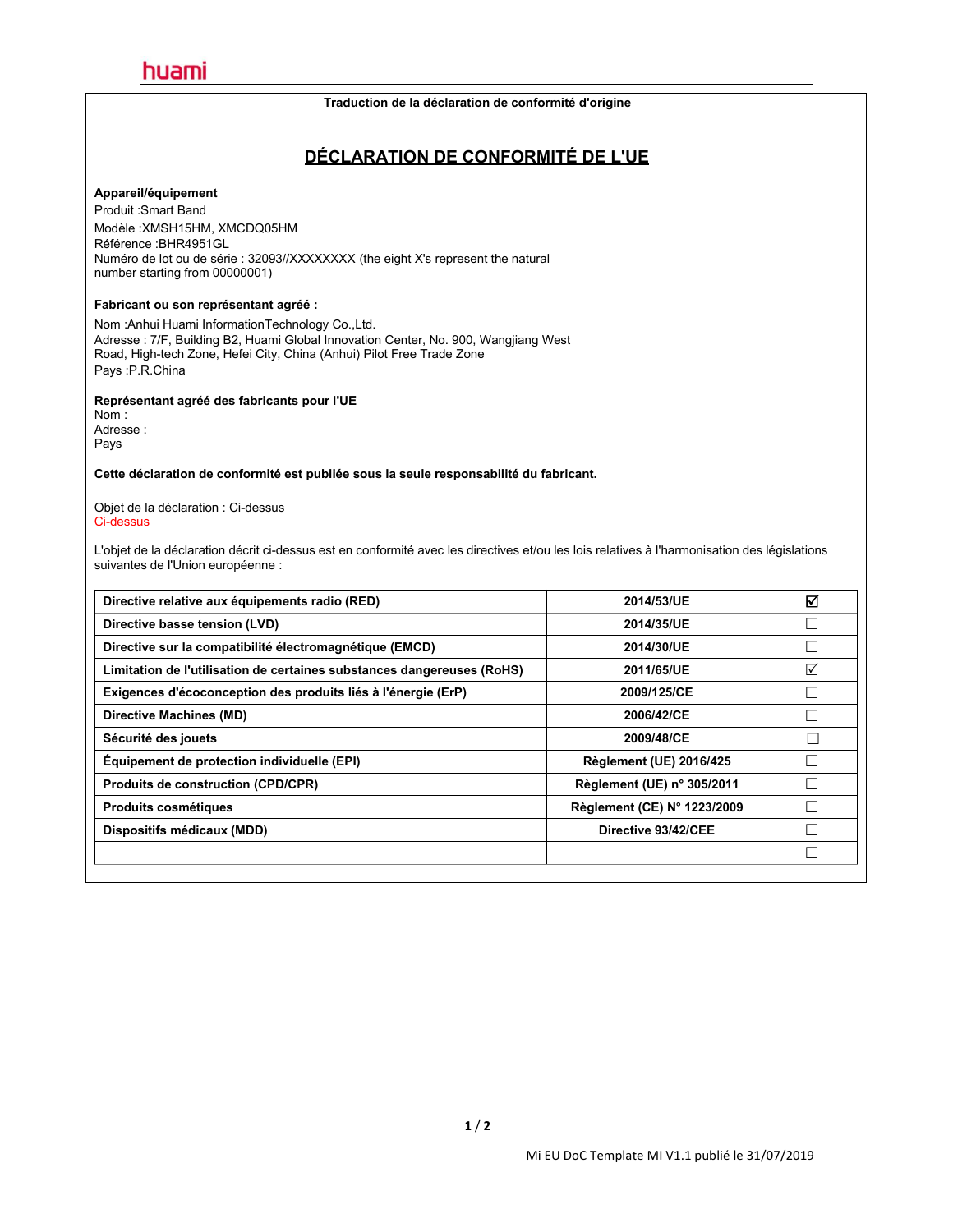#### **Traduction de la déclaration de conformité d'origine**

### **DÉCLARATION DE CONFORMITÉ DE L'UE**

#### **Appareil/équipement**

Produit :Smart Band Modèle :XMSH15HM, XMCDQ05HM Référence :BHR4951GL Numéro de lot ou de série : 32093//XXXXXXXX (the eight X's represent the natural number starting from 00000001)

#### **Fabricant ou son représentant agréé :**

Nom :Anhui Huami InformationTechnology Co.,Ltd. Adresse : 7/F, Building B2, Huami Global Innovation Center, No. 900, Wangjiang West Road, High-tech Zone, Hefei City, China (Anhui) Pilot Free Trade Zone Pays :P.R.China

#### **Représentant agréé des fabricants pour l'UE**

Nom : Adresse : Pays

**Cette déclaration de conformité est publiée sous la seule responsabilité du fabricant.**

Objet de la déclaration : Ci-dessus Ci-dessus

L'objet de la déclaration décrit ci-dessus est en conformité avec les directives et/ou les lois relatives à l'harmonisation des législations suivantes de l'Union européenne :

| Directive relative aux équipements radio (RED)                         | 2014/53/UE                     | ☑               |
|------------------------------------------------------------------------|--------------------------------|-----------------|
| Directive basse tension (LVD)                                          | 2014/35/UE                     |                 |
| Directive sur la compatibilité électromagnétique (EMCD)                | 2014/30/UE                     |                 |
| Limitation de l'utilisation de certaines substances dangereuses (RoHS) | 2011/65/UE                     | $\triangledown$ |
| Exigences d'écoconception des produits liés à l'énergie (ErP)          | 2009/125/CE                    |                 |
| Directive Machines (MD)                                                | 2006/42/CE                     |                 |
| Sécurité des jouets                                                    | 2009/48/CE                     |                 |
| Équipement de protection individuelle (EPI)                            | <b>Règlement (UE) 2016/425</b> |                 |
| <b>Produits de construction (CPD/CPR)</b>                              | Règlement (UE) n° 305/2011     |                 |
| <b>Produits cosmétiques</b>                                            | Règlement (CE) N° 1223/2009    |                 |
| Dispositifs médicaux (MDD)                                             | Directive 93/42/CEE            |                 |
|                                                                        |                                |                 |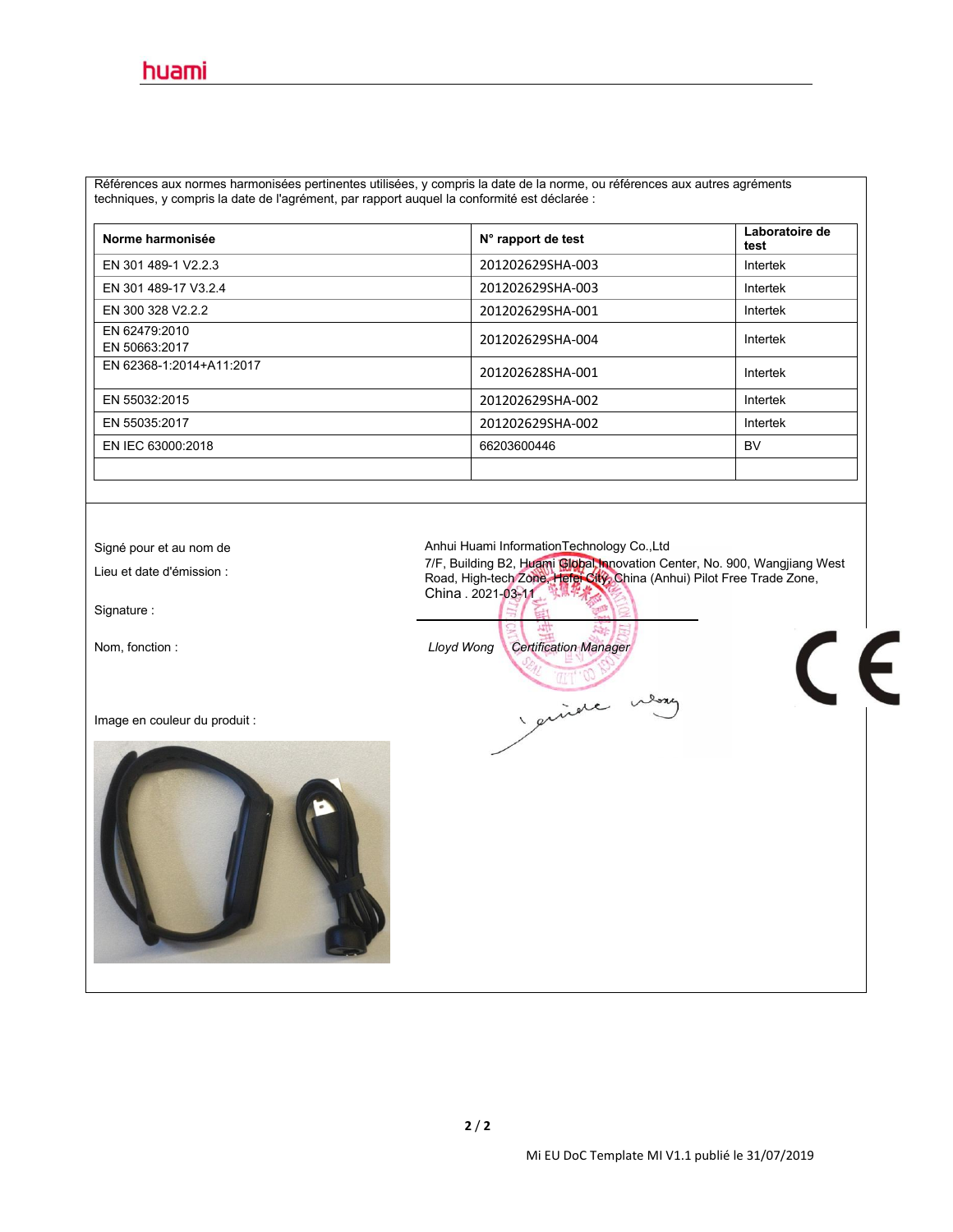Références aux normes harmonisées pertinentes utilisées, y compris la date de la norme, ou références aux autres agréments techniques, y compris la date de l'agrément, par rapport auquel la conformité est déclarée :

| Norme harmonisée               | N° rapport de test | Laboratoire de<br>test |
|--------------------------------|--------------------|------------------------|
| EN 301 489-1 V2.2.3            | 201202629SHA-003   | Intertek               |
| EN 301 489-17 V3.2.4           | 201202629SHA-003   | Intertek               |
| EN 300 328 V2.2.2              | 201202629SHA-001   | Intertek               |
| EN 62479:2010<br>EN 50663:2017 | 201202629SHA-004   | Intertek               |
| EN 62368-1:2014+A11:2017       | 201202628SHA-001   | Intertek               |
| EN 55032:2015                  | 201202629SHA-002   | Intertek               |
| EN 55035:2017                  | 201202629SHA-002   | Intertek               |
| EN IEC 63000:2018              | 66203600446        | <b>BV</b>              |
|                                |                    |                        |

Signature :

Image en couleur du produit :



Signé pour et au nom de **Anhui Huami InformationTechnology Co.,Ltd** 

7/F, Building B2, Huami Gibbal Innovation Center, No. 900, Wangjiang West المسلم 2001, Wangjiang West<br>Road, High-tech Zone, Hefei City, China (Anhui) Pilot Free Trade Zone, China . 2021-03-11

 $\epsilon$ 

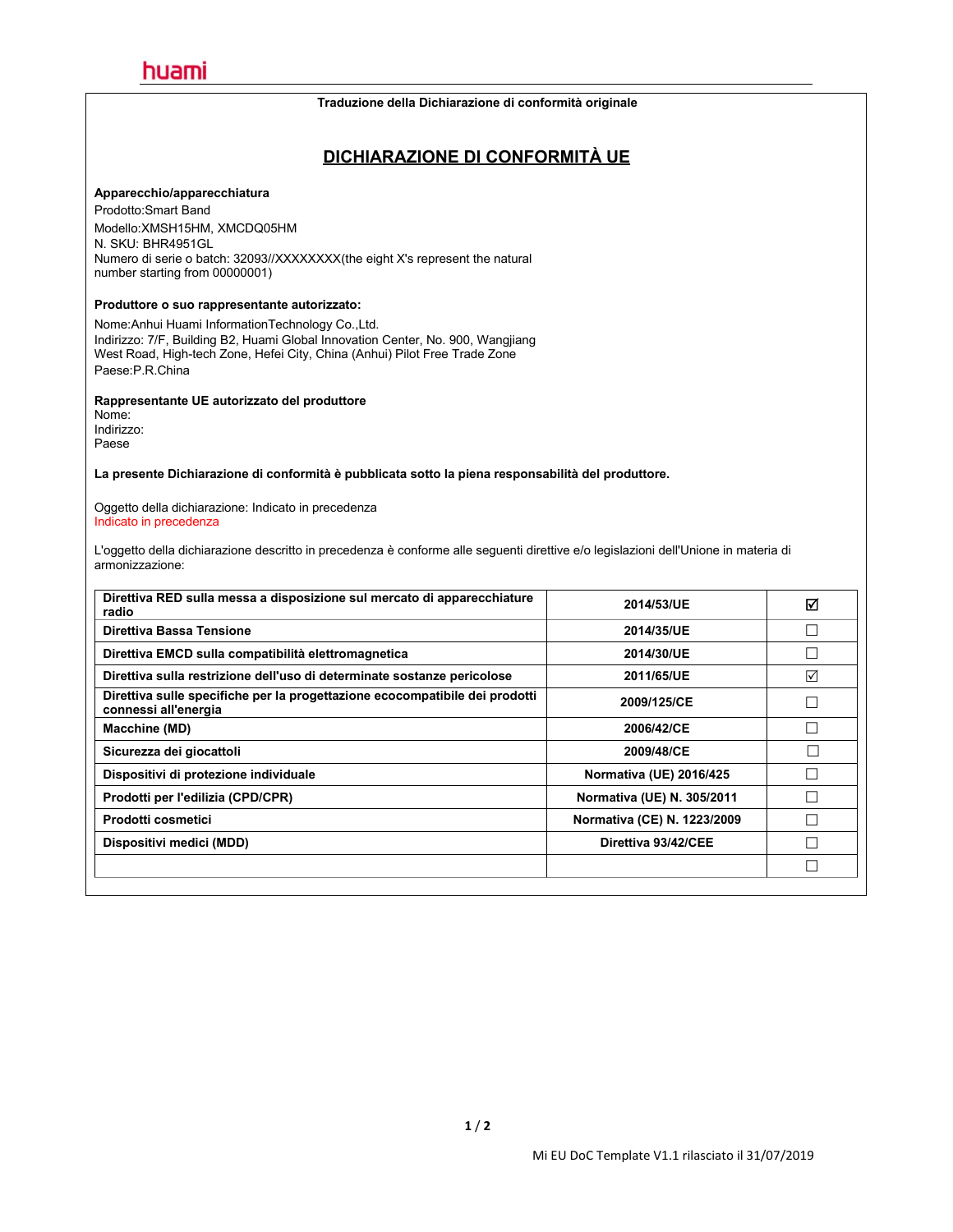#### **Traduzione della Dichiarazione di conformità originale**

### **DICHIARAZIONE DI CONFORMITÀ UE**

#### **Apparecchio/apparecchiatura**

Prodotto:Smart Band Modello:XMSH15HM, XMCDQ05HM N. SKU: BHR4951GL Numero di serie o batch: 32093//XXXXXXX(the eight X's represent the natural number starting from 00000001)

#### **Produttore o suo rappresentante autorizzato:**

Nome:Anhui Huami InformationTechnology Co.,Ltd. Indirizzo: 7/F, Building B2, Huami Global Innovation Center, No. 900, Wangjiang West Road, High-tech Zone, Hefei City, China (Anhui) Pilot Free Trade Zone Paese:P.R.China

#### **Rappresentante UE autorizzato del produttore**

Nome: Indirizzo: Paese

**La presente Dichiarazione di conformità è pubblicata sotto lapiena responsabilità del produttore.**

Oggetto della dichiarazione: Indicato in precedenza Indicato in precedenza

L'oggetto della dichiarazione descritto in precedenza è conforme alle seguenti direttive e/o legislazioni dell'Unione in materia di armonizzazione:

| 2014/53/UE                  | ☑ |
|-----------------------------|---|
| 2014/35/UE                  |   |
| 2014/30/UE                  |   |
| 2011/65/UE                  | ☑ |
| 2009/125/CE                 | П |
| 2006/42/CE                  |   |
| 2009/48/CE                  |   |
| Normativa (UE) 2016/425     |   |
| Normativa (UE) N. 305/2011  | П |
| Normativa (CE) N. 1223/2009 |   |
| Direttiva 93/42/CEE         |   |
|                             |   |
|                             |   |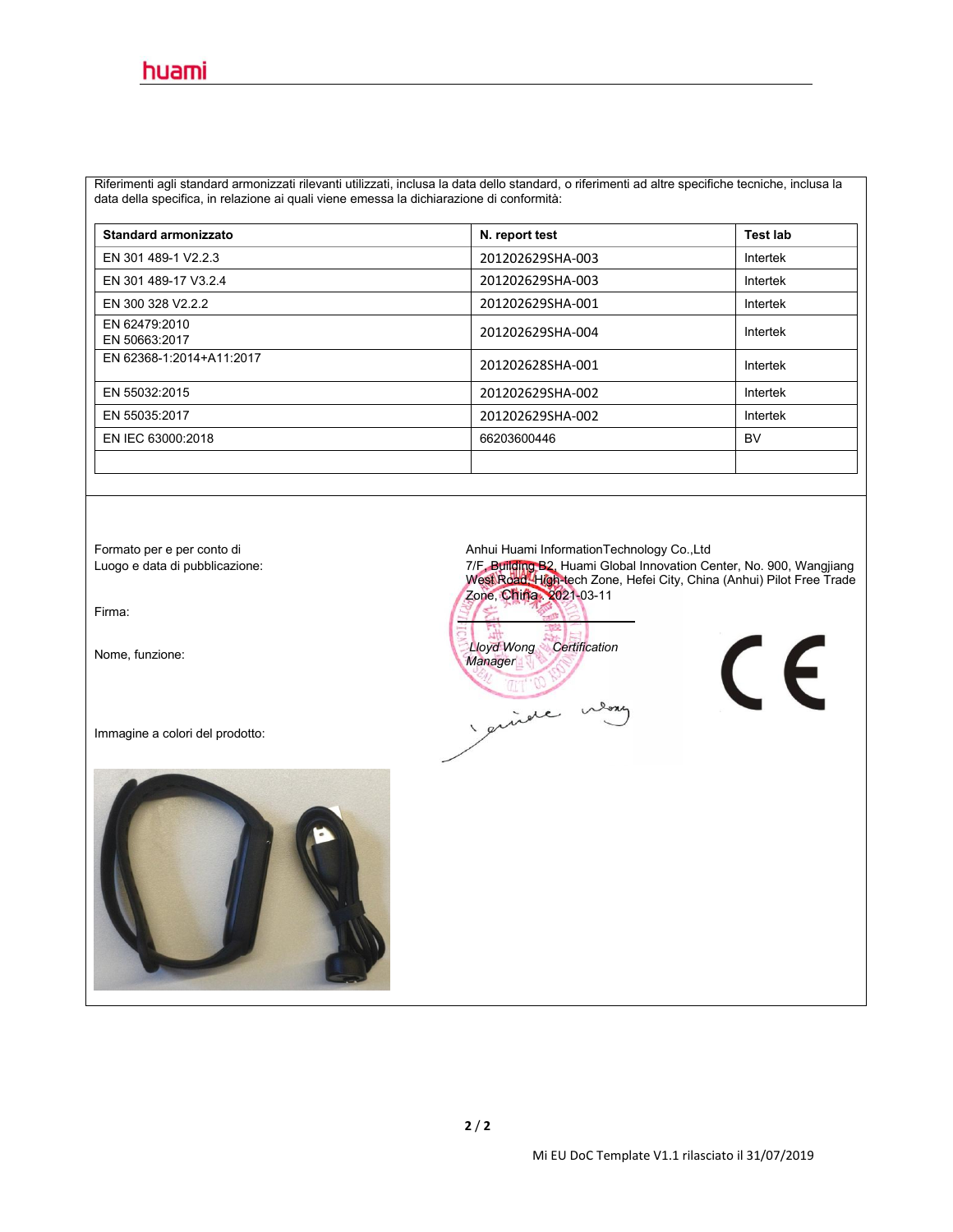Riferimenti agli standard armonizzati rilevanti utilizzati, inclusa la data dello standard, o riferimenti ad altre specifiche tecniche, inclusa la data della specifica, in relazione ai quali viene emessa la dichiarazione di conformità:

| Standard armonizzato           | N. report test   | <b>Test lab</b> |
|--------------------------------|------------------|-----------------|
| EN 301 489-1 V2.2.3            | 201202629SHA-003 | Intertek        |
| EN 301 489-17 V3.2.4           | 201202629SHA-003 | Intertek        |
| EN 300 328 V2.2.2              | 201202629SHA-001 | Intertek        |
| EN 62479:2010<br>EN 50663:2017 | 201202629SHA-004 | Intertek        |
| EN 62368-1:2014+A11:2017       | 201202628SHA-001 | Intertek        |
| EN 55032:2015                  | 201202629SHA-002 | Intertek        |
| EN 55035:2017                  | 201202629SHA-002 | Intertek        |
| EN IEC 63000:2018              | 66203600446      | BV              |
|                                |                  |                 |

Firma:

Immagine a colori del prodotto:



Formato per e perconto di Anhui Huami InformationTechnology Co.,Ltd

Luogo e data di pubblicazione: 7/F**, Building B2,** Huami Global Innovation Center, No. 900, Wangjiang | West Road, High-tech Zone, Hefei City, China (Anhui) Pilot Free Trade | Zone, China . 2021-03-11

Nome, funzione: *Lloyd Wong Certification Manager* guide lone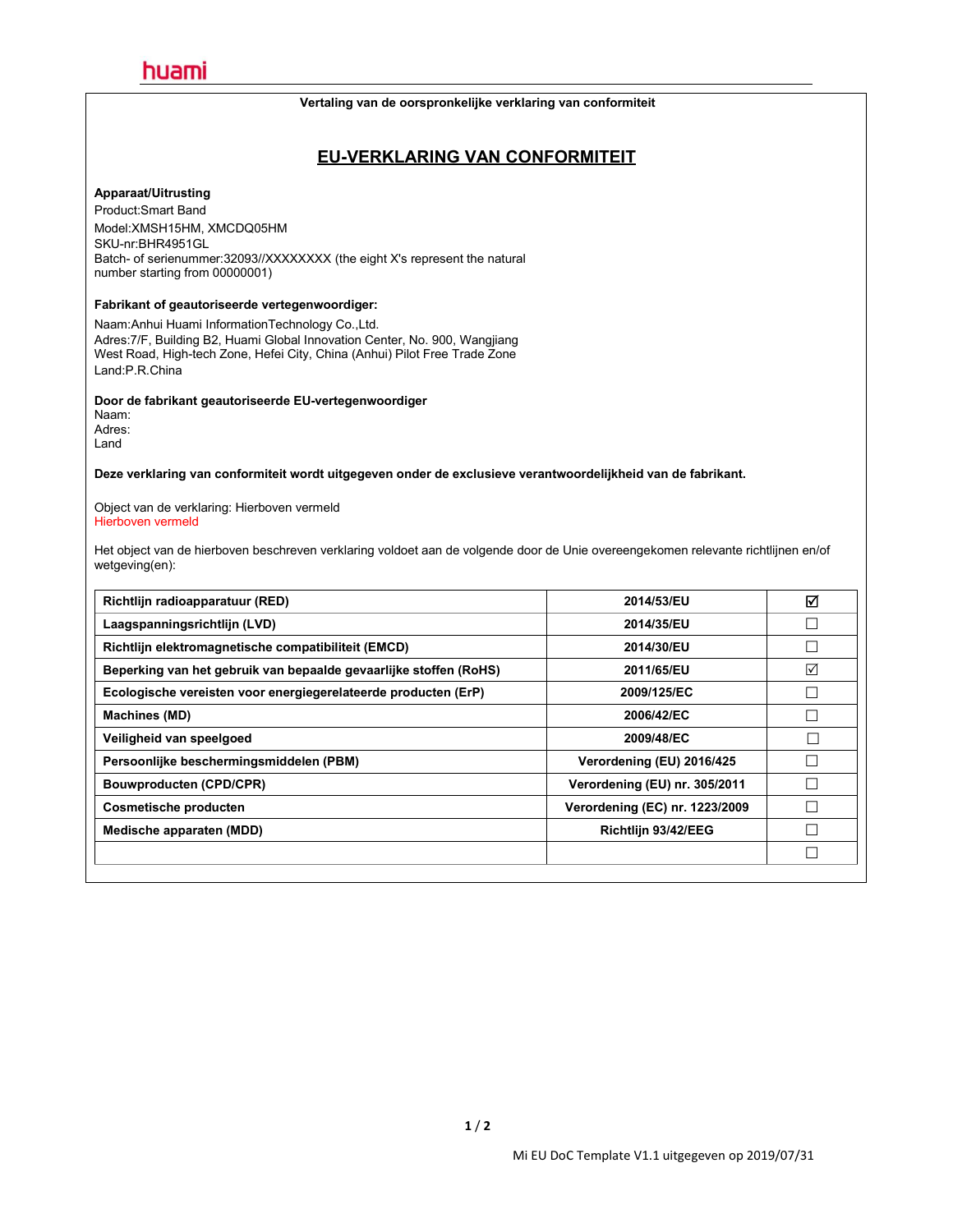#### **Vertaling van de oorspronkelijke verklaring van conformiteit**

### **EU-VERKLARING VAN CONFORMITEIT**

#### **Apparaat/Uitrusting**

Product:Smart Band Model:XMSH15HM, XMCDQ05HM SKU-nr:BHR4951GL Batch- of serienummer:32093//XXXXXXXX (the eight X's represent the natural number starting from 00000001)

### **Fabrikant of geautoriseerde vertegenwoordiger:**

Naam:Anhui Huami InformationTechnology Co.,Ltd. Adres:7/F, Building B2, Huami Global Innovation Center, No. 900, Wangjiang West Road, High-tech Zone, Hefei City, China (Anhui) Pilot Free Trade Zone Land:P.R.China

#### **Door de fabrikant geautoriseerde EU-vertegenwoordiger**

Naam: Adres: Land

**Deze verklaring van conformiteit wordt uitgegeven onder de exclusieve verantwoordelijkheid van de fabrikant.**

Object van de verklaring: Hierboven vermeld Hierboven vermeld

Het object van de hierboven beschreven verklaring voldoet aan de volgende door de Unie overeengekomen relevante richtlijnen en/of wetgeving(en):

| 2014/53/EU                     | ☑      |
|--------------------------------|--------|
| 2014/35/EU                     |        |
| 2014/30/EU                     |        |
| 2011/65/EU                     | ☑      |
| 2009/125/EC                    |        |
| 2006/42/EC                     |        |
| 2009/48/EC                     |        |
| Verordening (EU) 2016/425      |        |
| Verordening (EU) nr. 305/2011  |        |
| Verordening (EC) nr. 1223/2009 |        |
| Richtlijn 93/42/EEG            | $\Box$ |
|                                | $\Box$ |
|                                |        |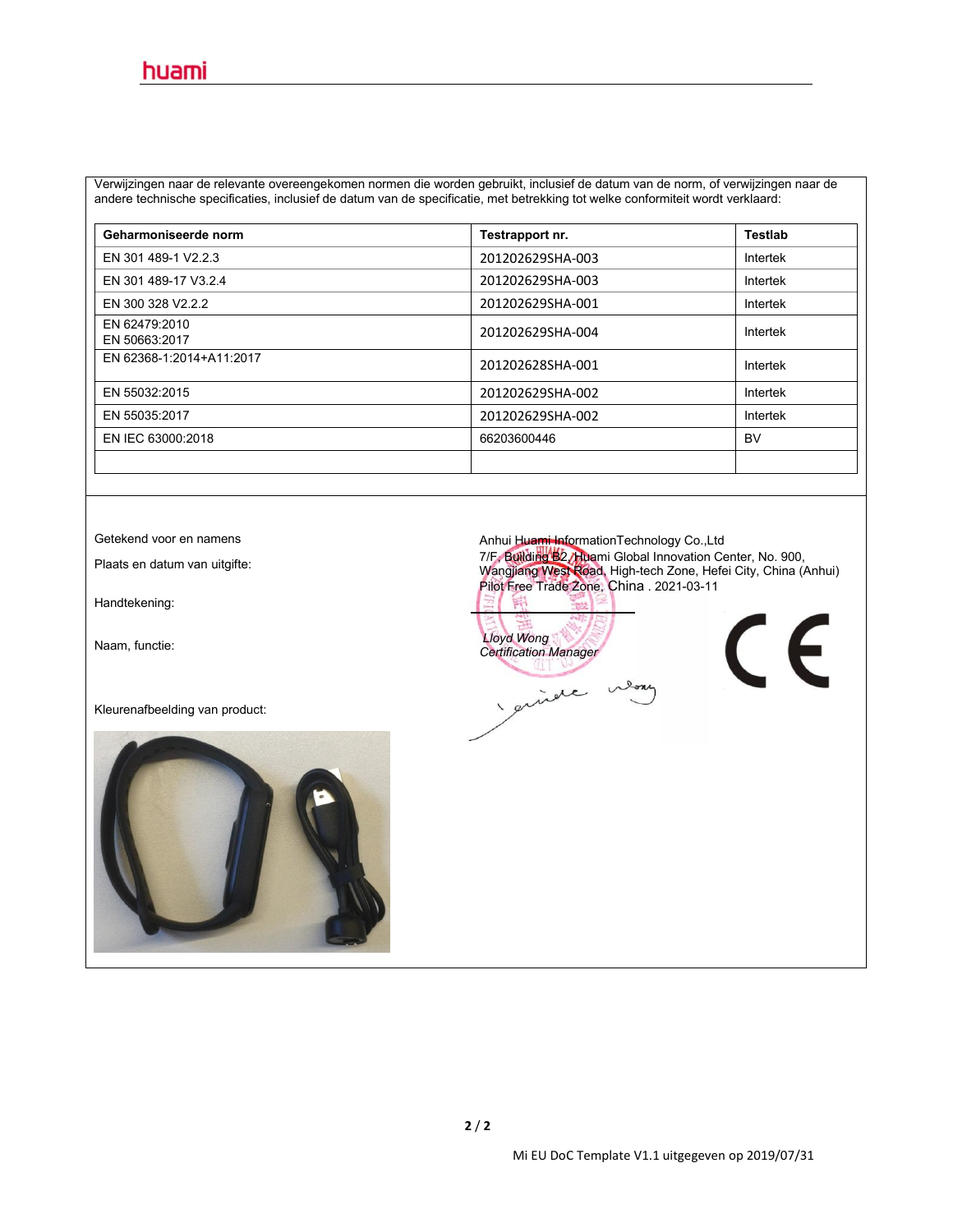Verwijzingen naar de relevante overeengekomen normen die worden gebruikt, inclusief de datum van de norm, ofverwijzingen naar de andere technische specificaties, inclusief de datum van de specificatie, met betrekking tot welke conformiteitwordt verklaard:

| Geharmoniseerde norm           | Testrapport nr.  | <b>Testlab</b> |
|--------------------------------|------------------|----------------|
| EN 301 489-1 V2.2.3            | 201202629SHA-003 | Intertek       |
| EN 301 489-17 V3.2.4           | 201202629SHA-003 | Intertek       |
| EN 300 328 V2.2.2              | 201202629SHA-001 | Intertek       |
| EN 62479:2010<br>EN 50663:2017 | 201202629SHA-004 | Intertek       |
| EN 62368-1:2014+A11:2017       | 201202628SHA-001 | Intertek       |
| EN 55032:2015                  | 201202629SHA-002 | Intertek       |
| EN 55035:2017                  | 201202629SHA-002 | Intertek       |
| EN IEC 63000:2018              | 66203600446      | <b>BV</b>      |
|                                |                  |                |

Handtekening:

Kleurenafbeelding van product:



Getekend voor en namens **Anhui Huami InformationTechnology Co.,Ltd** 

Plaats en datum van uitgifte: 7/F, Building B2, Huami Global Innovation Center, No.900, Wangjiang West Road, High-tech Zone, Hefei City, China (Anhui) Pilot Free Trade Zone, China . 2021-03-11 腎

Naam, functie: *Lloyd Wong Certification Manager*guide m

 $\epsilon$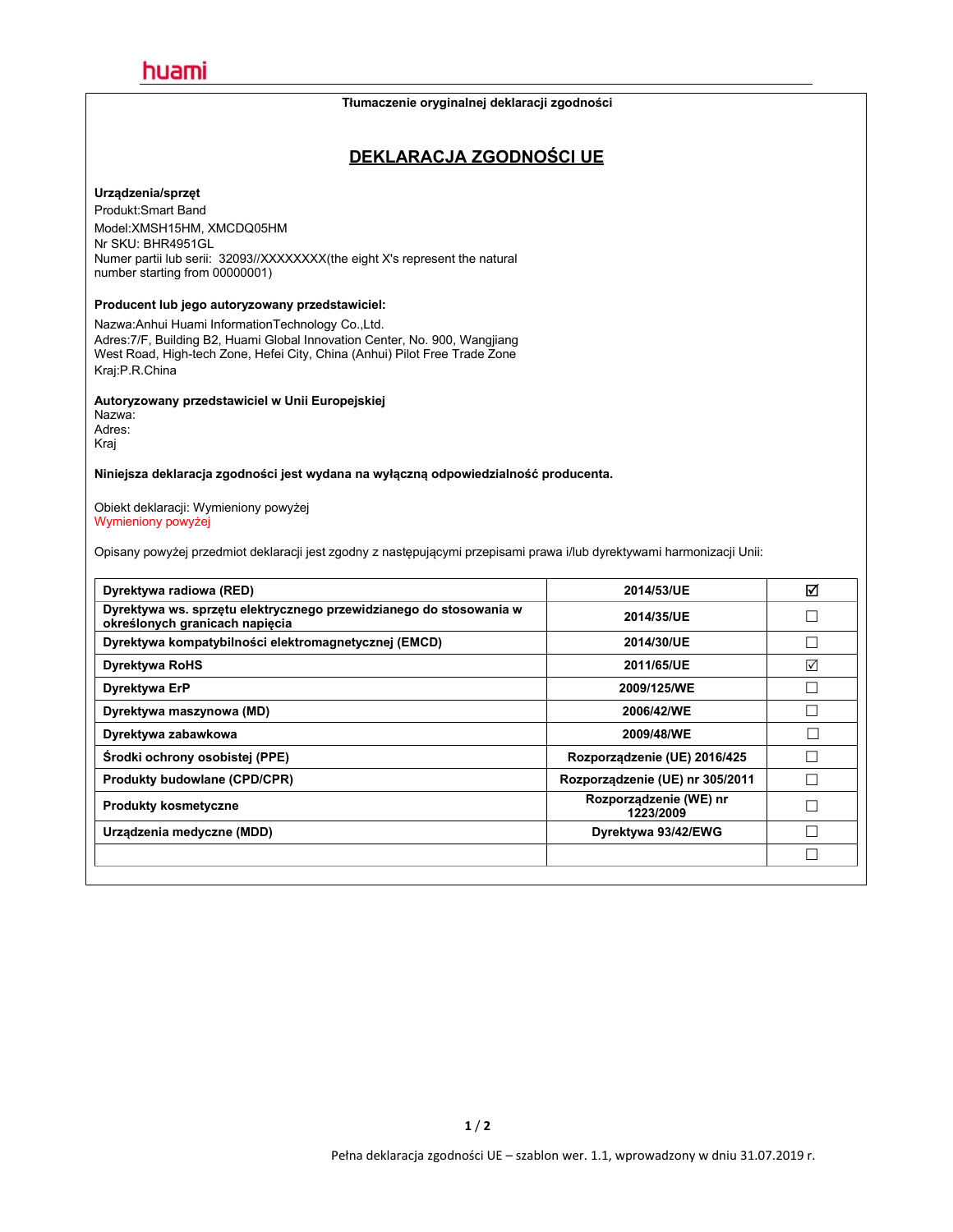#### **Tłumaczenie oryginalnej deklaracji zgodności**

### **DEKLARACJA ZGODNOŚCI UE**

#### **Urządzenia/sprzęt**

Produkt:Smart Band Model:XMSH15HM, XMCDQ05HM Nr SKU: BHR4951GL Numer partii lub serii: 32093//XXXXXXXX(the eight X's represent the natural number starting from 00000001)

### **Producent lub jego autoryzowany przedstawiciel:**

Nazwa:Anhui Huami InformationTechnology Co.,Ltd. Adres:7/F, Building B2, Huami Global Innovation Center, No. 900, Wangjiang West Road, High-tech Zone, Hefei City, China (Anhui) Pilot Free Trade Zone Kraj:P.R.China

#### **Autoryzowany przedstawiciel w Unii Europejskiej**

| Nazwa: |  |  |
|--------|--|--|
| Adres: |  |  |
| Kraj   |  |  |
|        |  |  |

#### **Niniejsza deklaracja zgodności jest wydana na wyłączną odpowiedzialność producenta.**

Obiekt deklaracji: Wymieniony powyżej Wymieniony powyżej

Opisany powyżej przedmiot deklaracji jest zgodny z następującymi przepisami prawa i/lub dyrektywami harmonizacji Unii:

| ☑               |
|-----------------|
|                 |
|                 |
| $\Box$          |
| $\triangledown$ |
|                 |
|                 |
|                 |
|                 |
| Г               |
|                 |
| Г               |
| $\Box$          |
|                 |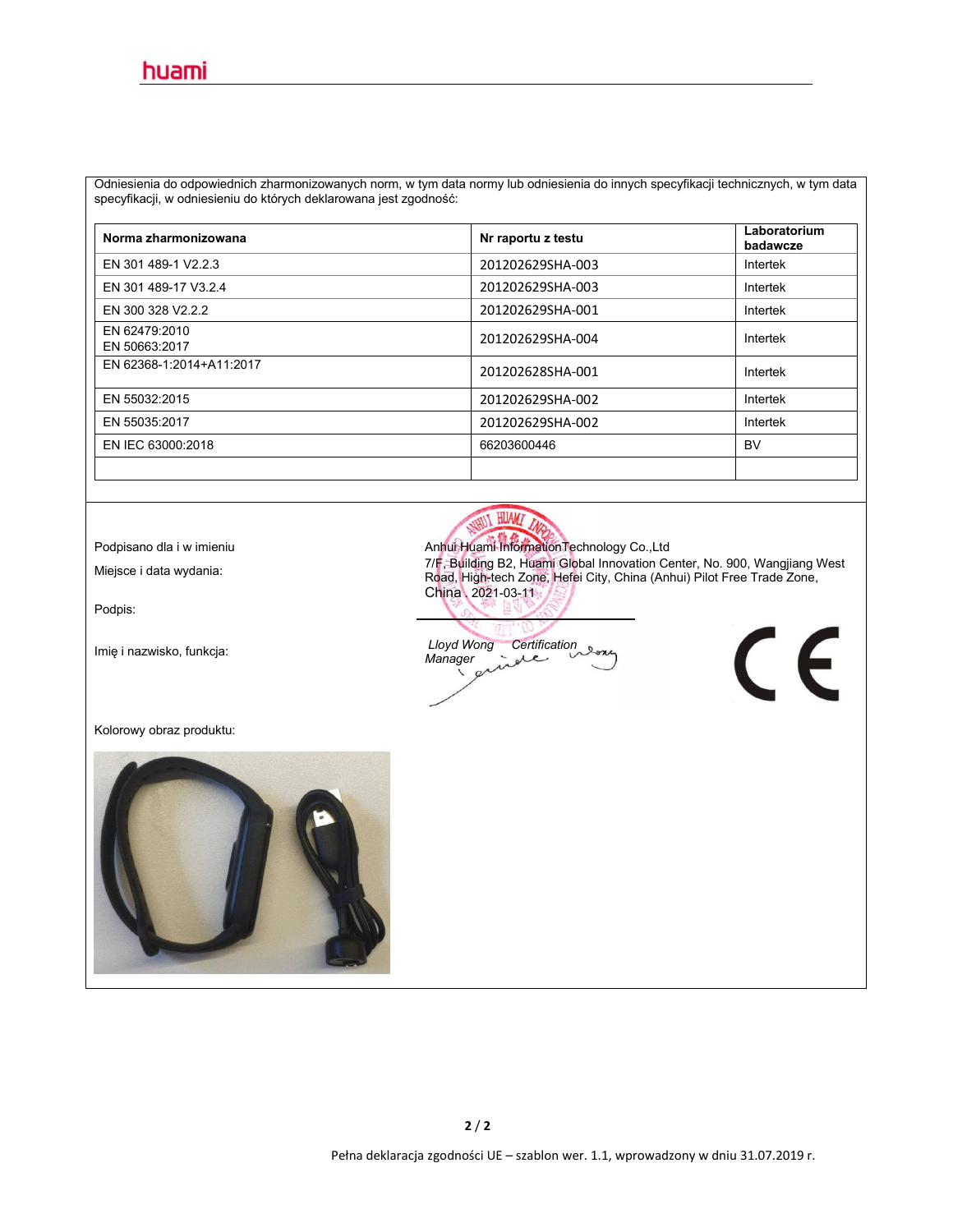Odniesienia do odpowiednich zharmonizowanych norm, w tym data normy lub odniesienia do innych specyfikacji technicznych, w tym data specyfikacji, w odniesieniu do których deklarowana jest zgodność:

| Norma zharmonizowana           | Nr raportu z testu | Laboratorium<br>badawcze |
|--------------------------------|--------------------|--------------------------|
| EN 301 489-1 V2.2.3            | 201202629SHA-003   | Intertek                 |
| EN 301 489-17 V3.2.4           | 201202629SHA-003   | Intertek                 |
| EN 300 328 V2.2.2              | 201202629SHA-001   | Intertek                 |
| EN 62479:2010<br>EN 50663:2017 | 201202629SHA-004   | Intertek                 |
| EN 62368-1:2014+A11:2017       | 201202628SHA-001   | Intertek                 |
| EN 55032:2015                  | 201202629SHA-002   | Intertek                 |
| EN 55035:2017                  | 201202629SHA-002   | Intertek                 |
| EN IEC 63000:2018              | 66203600446        | <b>BV</b>                |
|                                |                    |                          |

Podpis:

HUAMZ

Podpisano dla i w imieniu **Anhui Huami InformationTechnology Co.,Ltd** 7/F, Building B2, Huami Global Innovation Center, No. 900, Wangjiang West<br>
Read High toob Zene, Hotel City, China (Aphui) Bilot Ereo Trade Zene Road, High-tech Zone, Hefei City, China (Anhui) Pilot Free Trade Zone, China . 2021-03-11

 $\epsilon$ 

Imię <sup>i</sup> nazwisko, funkcja: *Lloyd Wong Certification Manager*

Kolorowy obraz produktu:

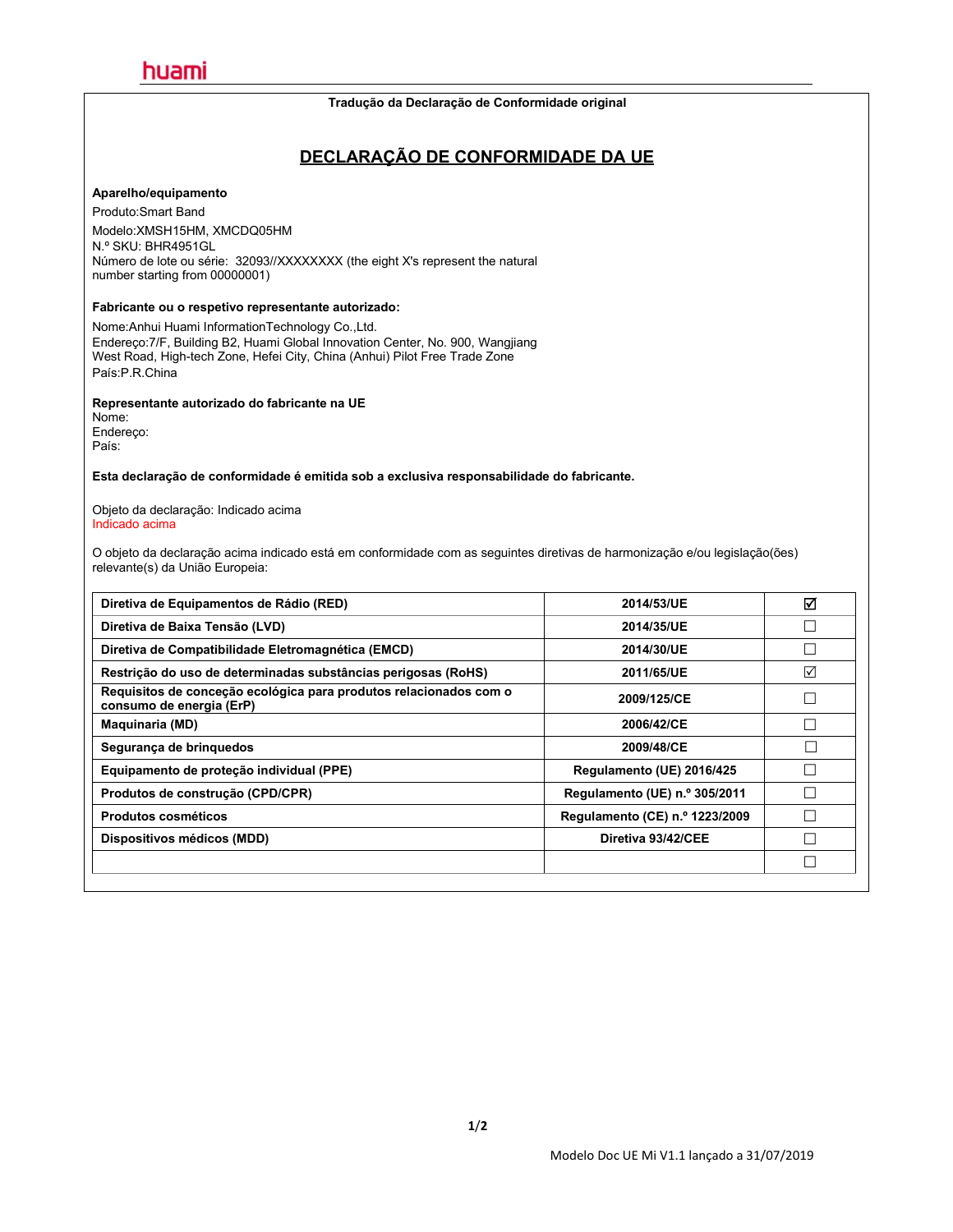#### **Tradução da Declaração de Conformidade original**

### **DECLARAÇÃO DE CONFORMIDADE DA UE**

#### **Aparelho/equipamento**

Produto:Smart Band

Modelo:XMSH15HM, XMCDQ05HM N.º SKU: BHR4951GL Número de lote ou série: 32093//XXXXXXXX (the eight X's represent the natural number starting from 00000001)

#### **Fabricante ou o respetivo representante autorizado:**

Nome:Anhui Huami InformationTechnology Co.,Ltd. Endereço:7/F, Building B2, Huami Global Innovation Center, No. 900, Wangjiang West Road, High-tech Zone, Hefei City, China (Anhui) Pilot Free Trade Zone País:P.R.China

#### **Representante autorizado do fabricante na UE**

Nome: Endereço: País:

#### **Esta declaração de conformidade é emitida sob a exclusiva responsabilidade do fabricante.**

Objeto da declaração: Indicado acima Indicado acima

O objeto da declaração acima indicado está em conformidade com as seguintes diretivas de harmonização e/ou legislação(ões) relevante(s) da União Europeia:

| Diretiva de Equipamentos de Rádio (RED)                                                       | 2014/53/UE                     | ☑ |
|-----------------------------------------------------------------------------------------------|--------------------------------|---|
| Diretiva de Baixa Tensão (LVD)                                                                | 2014/35/UE                     |   |
| Diretiva de Compatibilidade Eletromagnética (EMCD)                                            | 2014/30/UE                     |   |
| Restrição do uso de determinadas substâncias perigosas (RoHS)                                 | 2011/65/UE                     | ☑ |
| Requisitos de conceção ecológica para produtos relacionados com o<br>consumo de energia (ErP) | 2009/125/CE                    |   |
| <b>Maquinaria (MD)</b>                                                                        | 2006/42/CE                     |   |
| Segurança de brinquedos                                                                       | 2009/48/CE                     |   |
| Equipamento de proteção individual (PPE)                                                      | Regulamento (UE) 2016/425      |   |
| Produtos de construção (CPD/CPR)                                                              | Regulamento (UE) n.º 305/2011  |   |
| <b>Produtos cosméticos</b>                                                                    | Regulamento (CE) n.º 1223/2009 |   |
| Dispositivos médicos (MDD)                                                                    | Diretiva 93/42/CEE             |   |
|                                                                                               |                                |   |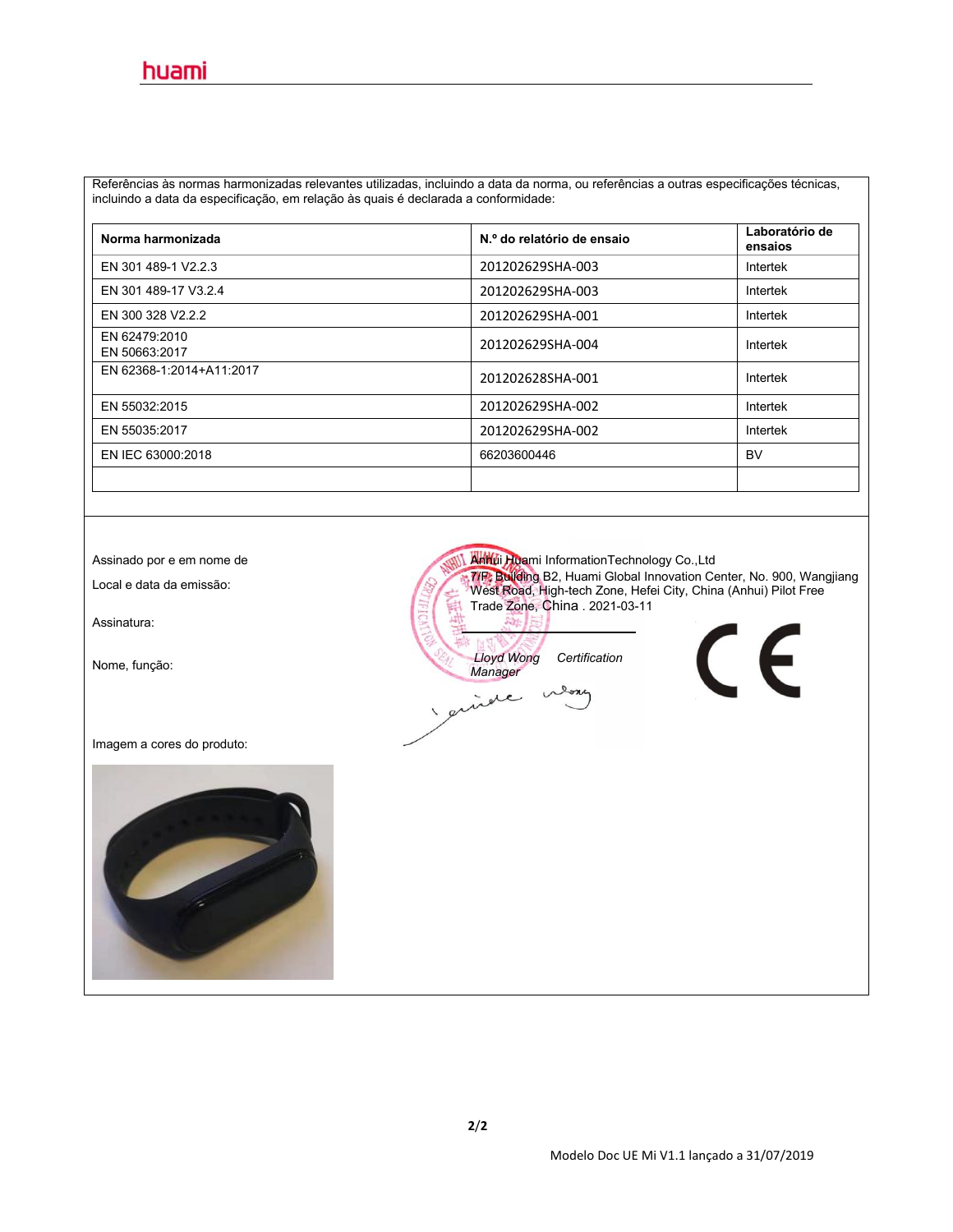Referências às normas harmonizadas relevantes utilizadas, incluindo a data da norma, ou referências a outras especificações técnicas, incluindo a data da especificação, em relação às quais é declarada a conformidade:

| Norma harmonizada              | N.º do relatório de ensaio | Laboratório de<br>ensaios |
|--------------------------------|----------------------------|---------------------------|
| EN 301 489-1 V2.2.3            | 201202629SHA-003           | Intertek                  |
| EN 301 489-17 V3.2.4           | 201202629SHA-003           | Intertek                  |
| EN 300 328 V2.2.2              | 201202629SHA-001           | Intertek                  |
| EN 62479:2010<br>EN 50663:2017 | 201202629SHA-004           | Intertek                  |
| EN 62368-1:2014+A11:2017       | 201202628SHA-001           | Intertek                  |
| EN 55032:2015                  | 201202629SHA-002           | Intertek                  |
| EN 55035:2017                  | 201202629SHA-002           | Intertek                  |
| EN IEC 63000:2018              | 66203600446                | <b>BV</b>                 |
|                                |                            |                           |

Assinatura:

Imagem a cores do produto:



Assinado por e em nome de Anhui Huami InformationTechnology Co.,Ltd Local <sup>e</sup> data da emissão: 7/F, Building B2, Huami Global Innovation Center, No.900, Wangjiang West Road, High-tech Zone, Hefei City, China (Anhui) Pilot Free Trade Zone, China . 2021-03-11 Nome, função: *Lloyd Wong Certification Manager* **SYL** inde  $\Omega$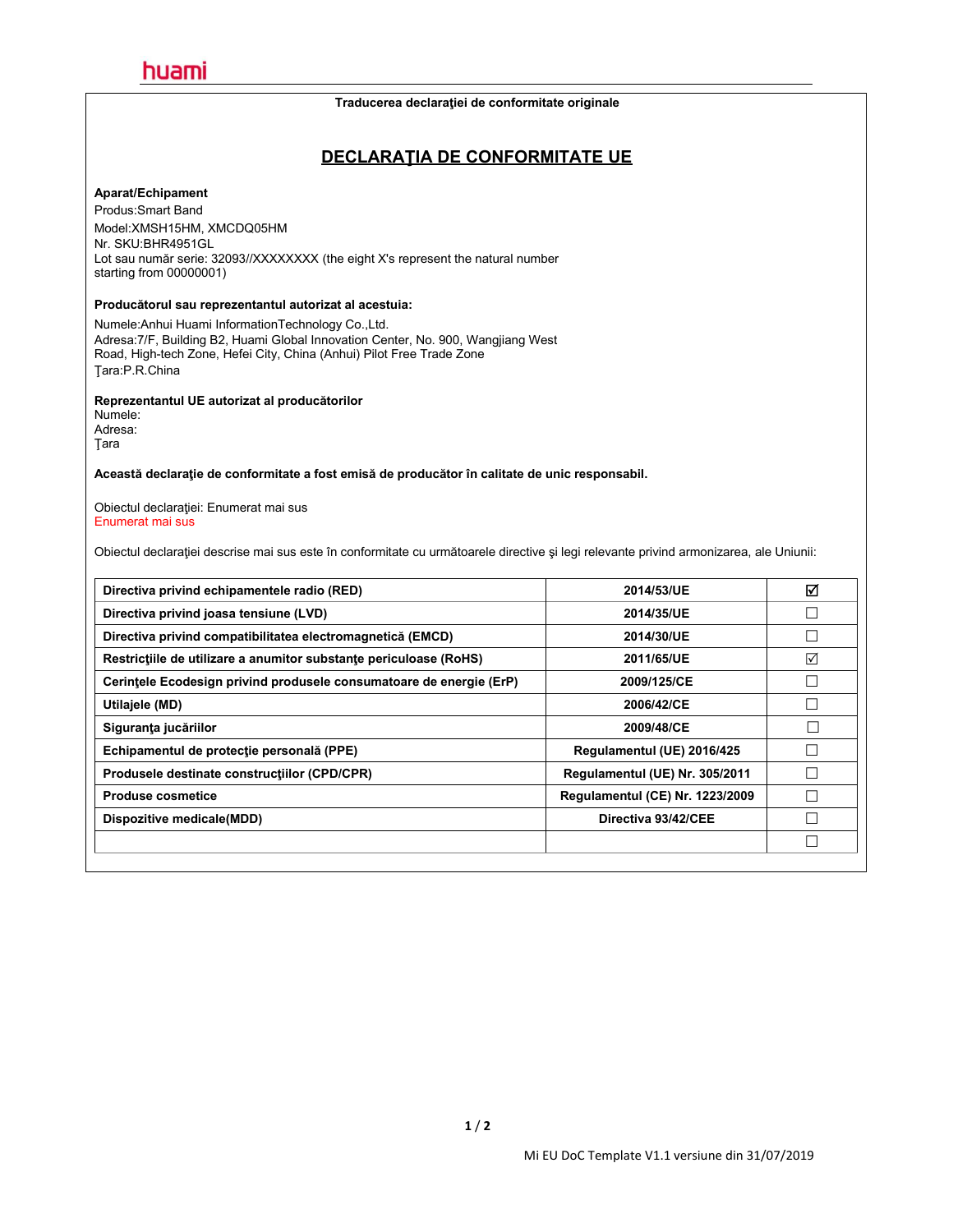#### **Traducerea declaraţiei de conformitate originale**

### **DECLARAŢIA DE CONFORMITATE UE**

#### **Aparat/Echipament**

Produs:Smart Band Model:XMSH15HM, XMCDQ05HM Nr. SKU:BHR4951GL Lot sau număr serie: 32093//XXXXXXXX (the eight X's represent the natural number starting from 00000001)

#### **Producătorul sau reprezentantul autorizat al acestuia:**

Numele:Anhui Huami InformationTechnology Co.,Ltd. Adresa:7/F, Building B2, Huami Global Innovation Center, No.900, Wangjiang West Road, High-tech Zone, Hefei City, China (Anhui) Pilot Free Trade Zone Ţara:P.R.China

#### **Reprezentantul UE autorizat al producătorilor**

Numele: Adresa: Ţara

#### **Această declaraţie de conformitate a fost emisă de producător în calitate de unic responsabil.**

Obiectul declaraţiei: Enumerat mai sus Enumerat mai sus

Obiectul declaraţiei descrise mai sus este în conformitate cu următoarele directive şi legi relevante privind armonizarea, ale Uniunii:

| 2014/53/UE                      | ☑ |
|---------------------------------|---|
| 2014/35/UE                      |   |
| 2014/30/UE                      |   |
| 2011/65/UE                      | ☑ |
| 2009/125/CE                     |   |
| 2006/42/CE                      |   |
| 2009/48/CE                      |   |
| Regulamentul (UE) 2016/425      |   |
| Regulamentul (UE) Nr. 305/2011  |   |
| Regulamentul (CE) Nr. 1223/2009 |   |
| Directiva 93/42/CEE             |   |
|                                 |   |
|                                 |   |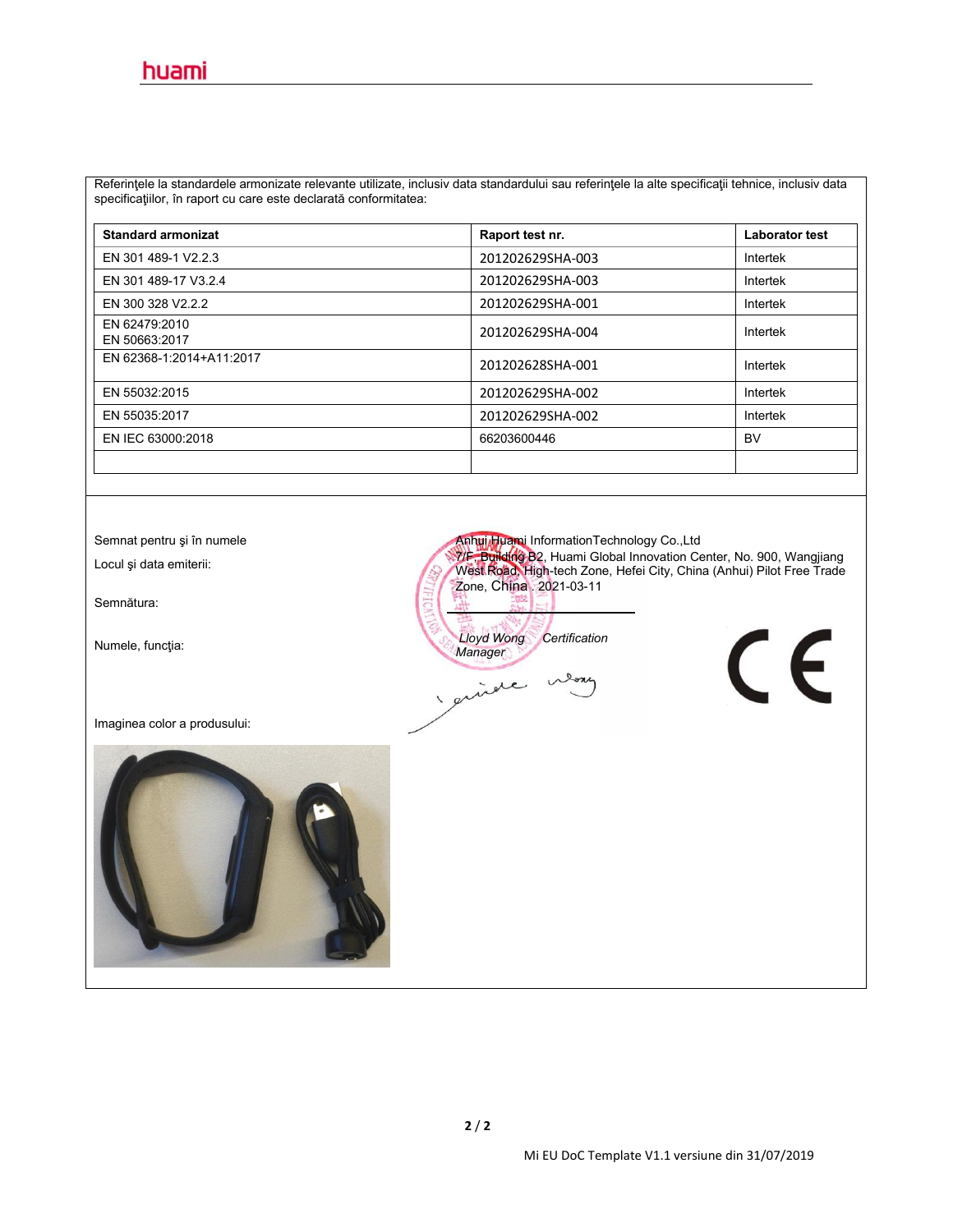Referinţele la standardele armonizate relevante utilizate, inclusiv data standardului sau referinţele la alte specificaţii tehnice, inclusiv data specificaţiilor, în raport cu care este declarată conformitatea:

| <b>Standard armonizat</b>      | Raport test nr.  | <b>Laborator test</b> |
|--------------------------------|------------------|-----------------------|
| EN 301 489-1 V2.2.3            | 201202629SHA-003 | Intertek              |
| EN 301 489-17 V3.2.4           | 201202629SHA-003 | Intertek              |
| EN 300 328 V2.2.2              | 201202629SHA-001 | Intertek              |
| EN 62479:2010<br>EN 50663:2017 | 201202629SHA-004 | Intertek              |
| EN 62368-1:2014+A11:2017       | 201202628SHA-001 | Intertek              |
| EN 55032:2015                  | 201202629SHA-002 | Intertek              |
| EN 55035:2017                  | 201202629SHA-002 | Intertek              |
| EN IEC 63000:2018              | 66203600446      | <b>BV</b>             |
|                                |                  |                       |

Semnătura:

Imaginea color a produsului:



Semnat pentru și în numele **Anhui Huami InformationTechnology Co.,Ltd** لاست لون لون المراجع المراجع المراجع المراجع المراجع المراجع المراجع المراجع المراجع المراجع المراجع المراجع ا<br>West Road, High-tech Zone, Hefei City, China (Anhui) Pilot Free Trade Zone, China . 2021-03-11

Numele, funcţia: *Lloyd Wong Certification Manager*

Lore inde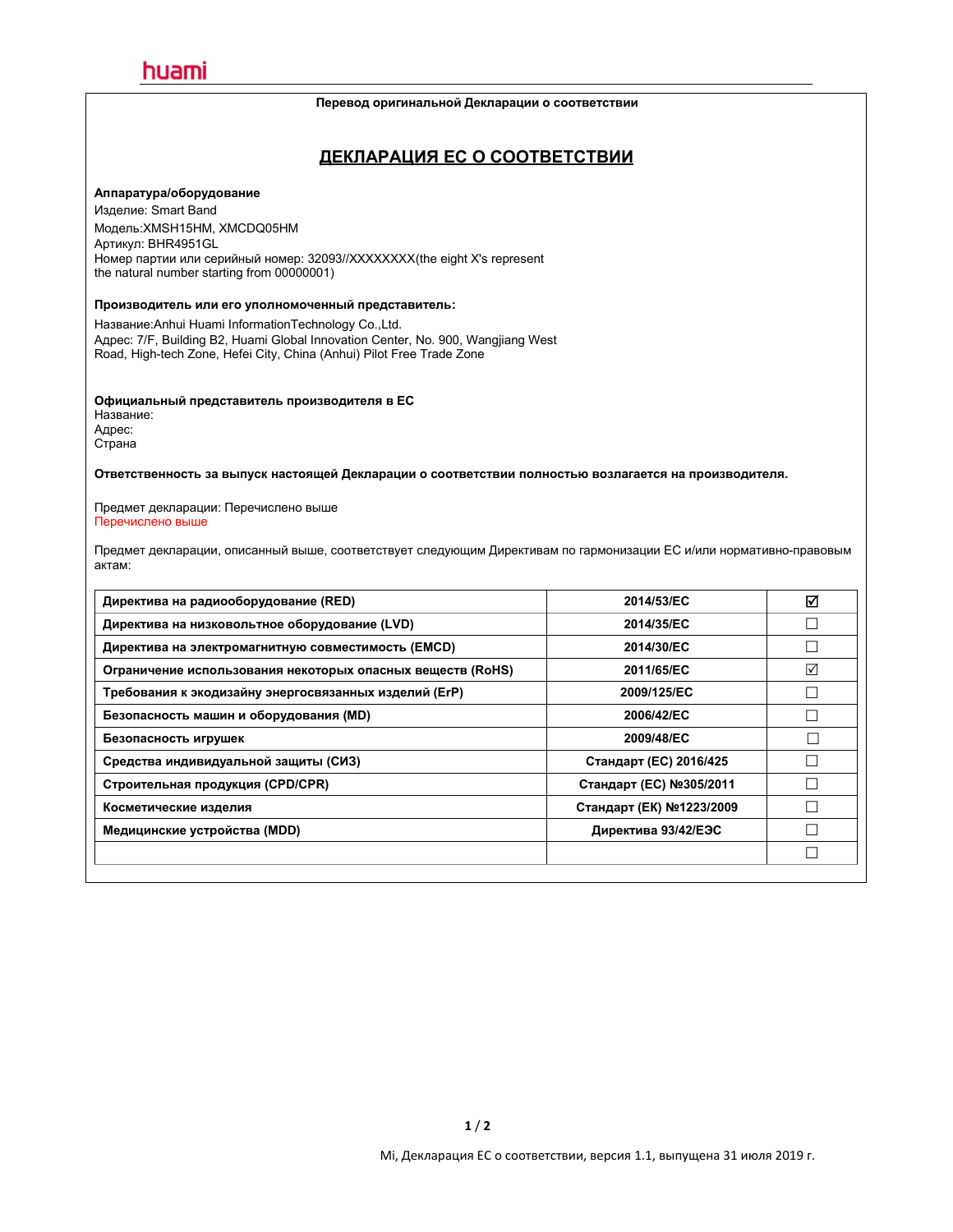#### **Перевод оригинальной Декларации о соответствии**

### **ДЕКЛАРАЦИЯ ЕС О СООТВЕТСТВИИ**

#### **Аппаратура/оборудование**

Изделие: Smart Band Модель:XMSH15HM, XMCDQ05HM Артикул: BHR4951GL Номер партии или серийный номер: 32093//XXXXXXXX(the eight X's represent the natural number starting from 00000001)

#### **Производитель или его уполномоченный представитель:**

Название:Anhui Huami InformationTechnology Co.,Ltd. Адрес: 7/F, Building B2, Huami Global Innovation Center, No.900, Wangjiang West Road, High-tech Zone, Hefei City, China (Anhui) Pilot Free Trade Zone

**Официальный представитель производителя в ЕС**

Название: Адрес: Страна

**Ответственность за выпуск настоящей Декларации о соответствии полностью возлагается на производителя.**

Предмет декларации: Перечислено выше Перечислено выше

Предмет декларации, описанный выше, соответствует следующим Директивам по гармонизации ЕС и/или нормативно-правовым актам:

| Директива на радиооборудование (RED)                       | 2014/53/EC               | ☑ |
|------------------------------------------------------------|--------------------------|---|
| Директива на низковольтное оборудование (LVD)              | 2014/35/EC               |   |
| Директива на электромагнитную совместимость (EMCD)         | 2014/30/EC               |   |
| Ограничение использования некоторых опасных веществ (RoHS) | 2011/65/EC               | ☑ |
| Требования к экодизайну энергосвязанных изделий (ErP)      | 2009/125/EC              |   |
| Безопасность машин и оборудования (MD)                     | 2006/42/EC               |   |
| Безопасность игрушек                                       | 2009/48/EC               |   |
| Средства индивидуальной защиты (СИЗ)                       | Стандарт (ЕС) 2016/425   |   |
| Строительная продукция (CPD/CPR)                           | Стандарт (ЕС) №305/2011  |   |
| Косметические изделия                                      | Стандарт (ЕК) №1223/2009 |   |
| Медицинские устройства (MDD)                               | Директива 93/42/ЕЭС      |   |
|                                                            |                          |   |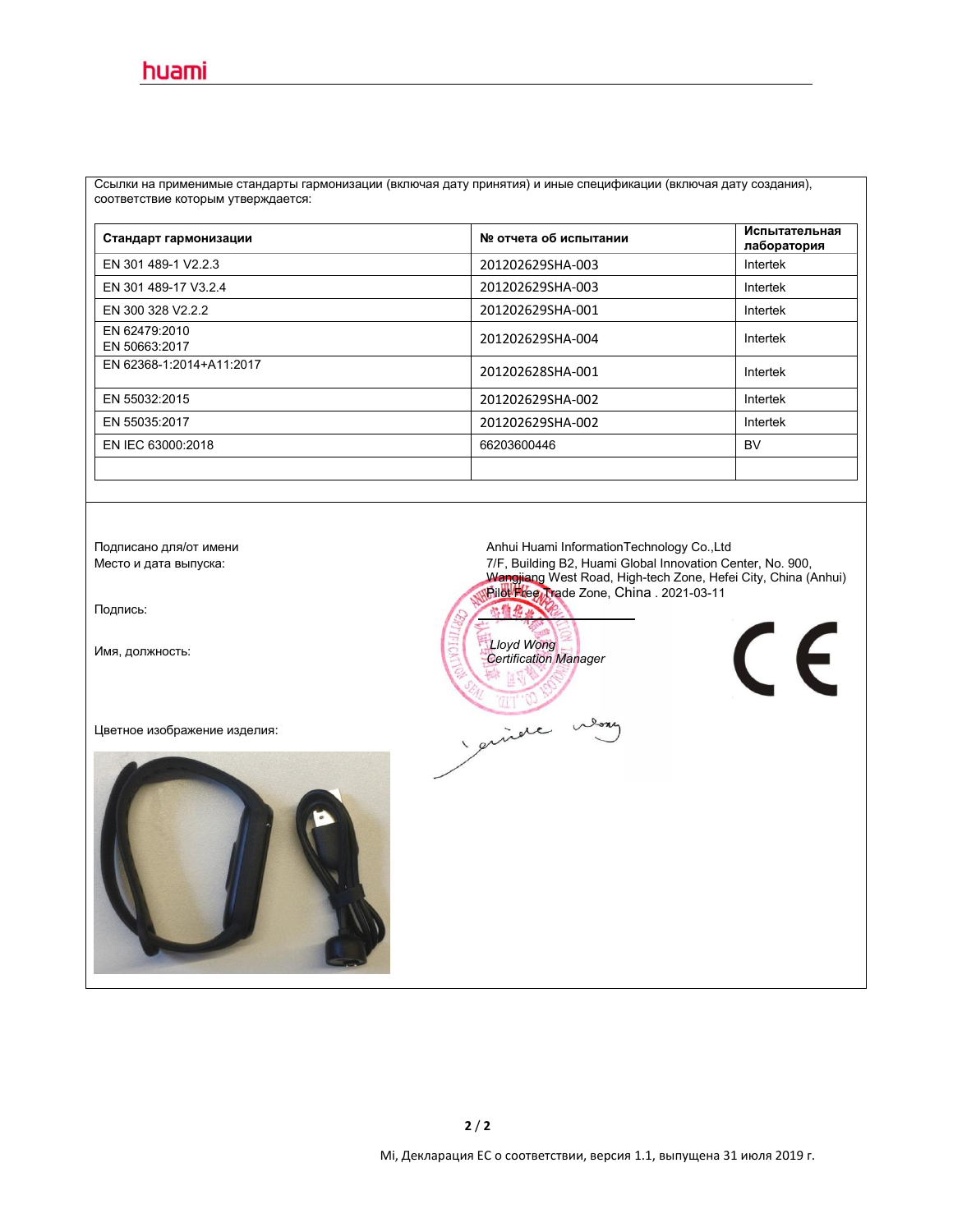Ссылки на применимые стандарты гармонизации (включая дату принятия) и иные спецификации (включая дату создания), соответствие которым утверждается:

| Стандарт гармонизации          | № отчета об испытании | Испытательная<br>лаборатория |
|--------------------------------|-----------------------|------------------------------|
| EN 301 489-1 V2.2.3            | 201202629SHA-003      | Intertek                     |
| EN 301 489-17 V3.2.4           | 201202629SHA-003      | Intertek                     |
| EN 300 328 V2.2.2              | 201202629SHA-001      | Intertek                     |
| EN 62479:2010<br>EN 50663:2017 | 201202629SHA-004      | Intertek                     |
| EN 62368-1:2014+A11:2017       | 201202628SHA-001      | Intertek                     |
| EN 55032:2015                  | 201202629SHA-002      | Intertek                     |
| EN 55035:2017                  | 201202629SHA-002      | Intertek                     |
| EN IEC 63000:2018              | 66203600446           | <b>BV</b>                    |
|                                |                       |                              |

Подпись:

Цветное изображение изделия:



Подписано для/от имени **Anhui Huami InformationTechnology Co.,Ltd**<br>Mecто и дата выпуска: Место в данно в детей Альф Место и дата выпуска: 7/F, Building B2, Huami Global Innovation Center, No. 900, Wangjiang West Road, High-tech Zone, Hefei City, China (Anhui) | Pilot Free Trade Zone, China . 2021-03-11



 $\epsilon$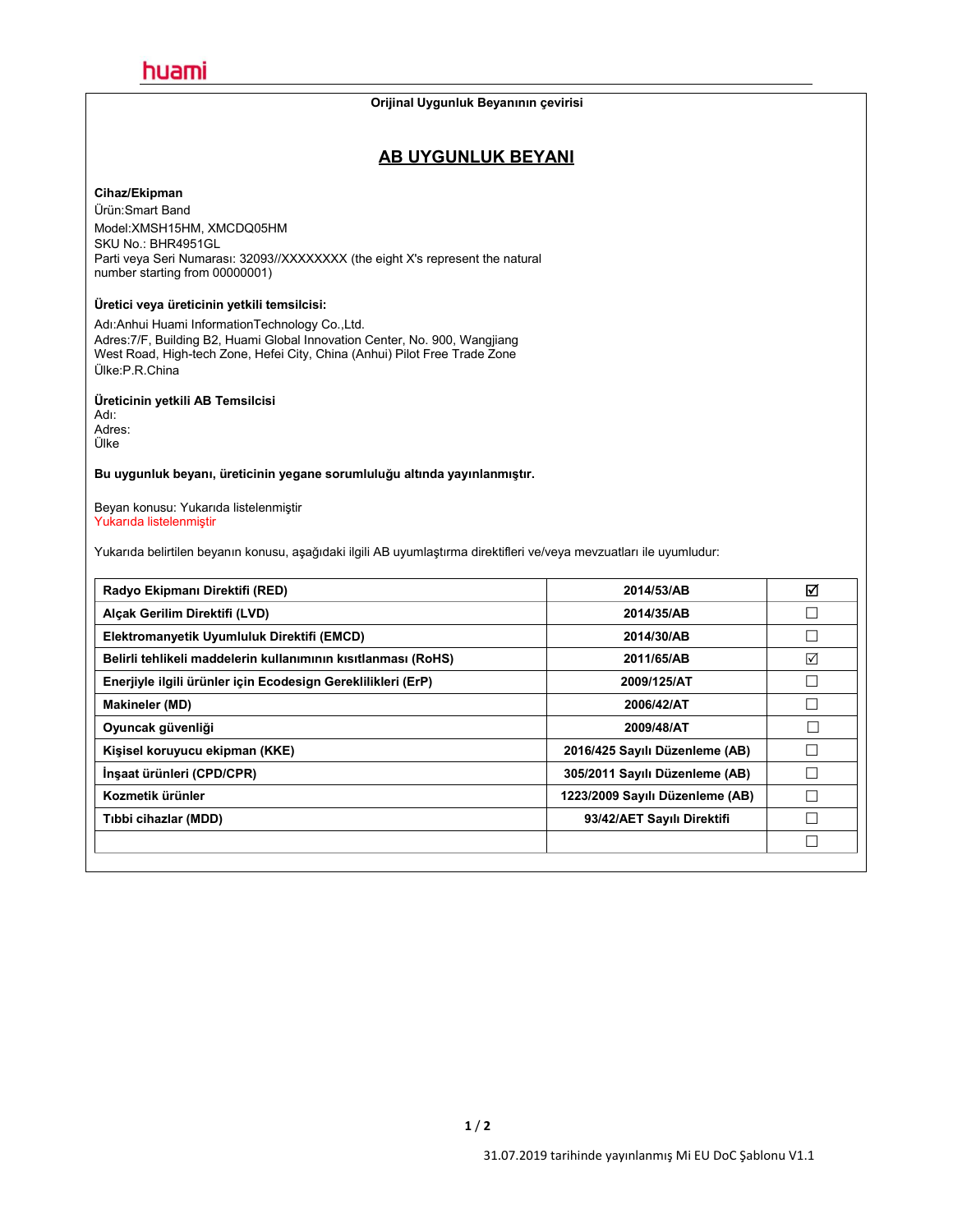#### **Orijinal Uygunluk Beyanının çevirisi**

### **AB UYGUNLUK BEYANI**

#### **Cihaz/Ekipman**

Ürün:Smart Band Model:XMSH15HM, XMCDQ05HM SKU No.: BHR4951GL Parti veya Seri Numarası: 32093//XXXXXXX (the eight X's represent the natural number starting from 00000001)

#### **Üretici veya üreticinin yetkili temsilcisi:**

Adı:Anhui Huami InformationTechnology Co.,Ltd. Adres:7/F, Building B2, Huami Global Innovation Center, No. 900, Wangjiang West Road, High-tech Zone, Hefei City, China (Anhui) Pilot Free Trade Zone Ülke:P.R.China

#### **Üreticinin yetkili AB Temsilcisi**

Adı: Adres: Ülke

**Bu uygunluk beyanı, üreticinin yegane sorumluluğu altında yayınlanmıştır.**

Beyan konusu: Yukarıda listelenmiştir Yukarıda listelenmiştir

Yukarıda belirtilen beyanın konusu, aşağıdaki ilgili AB uyumlaştırma direktifleri ve/veya mevzuatları ile uyumludur:

| Radyo Ekipmanı Direktifi (RED)                                | 2014/53/AB                      | ☑               |
|---------------------------------------------------------------|---------------------------------|-----------------|
| Alcak Gerilim Direktifi (LVD)                                 | 2014/35/AB                      | $\Box$          |
| Elektromanyetik Uyumluluk Direktifi (EMCD)                    | 2014/30/AB                      | $\Box$          |
| Belirli tehlikeli maddelerin kullanımının kısıtlanması (RoHS) | 2011/65/AB                      | $\triangledown$ |
| Enerjiyle ilgili ürünler için Ecodesign Gereklilikleri (ErP)  | 2009/125/AT                     | $\Box$          |
| <b>Makineler (MD)</b>                                         | 2006/42/AT                      | $\Box$          |
| Oyuncak güvenliği                                             | 2009/48/AT                      |                 |
| Kişisel koruyucu ekipman (KKE)                                | 2016/425 Sayılı Düzenleme (AB)  | $\Box$          |
| İnşaat ürünleri (CPD/CPR)                                     | 305/2011 Sayılı Düzenleme (AB)  |                 |
| Kozmetik ürünler                                              | 1223/2009 Sayılı Düzenleme (AB) |                 |
| Tibbi cihazlar (MDD)                                          | 93/42/AET Sayılı Direktifi      |                 |
|                                                               |                                 | $\Box$          |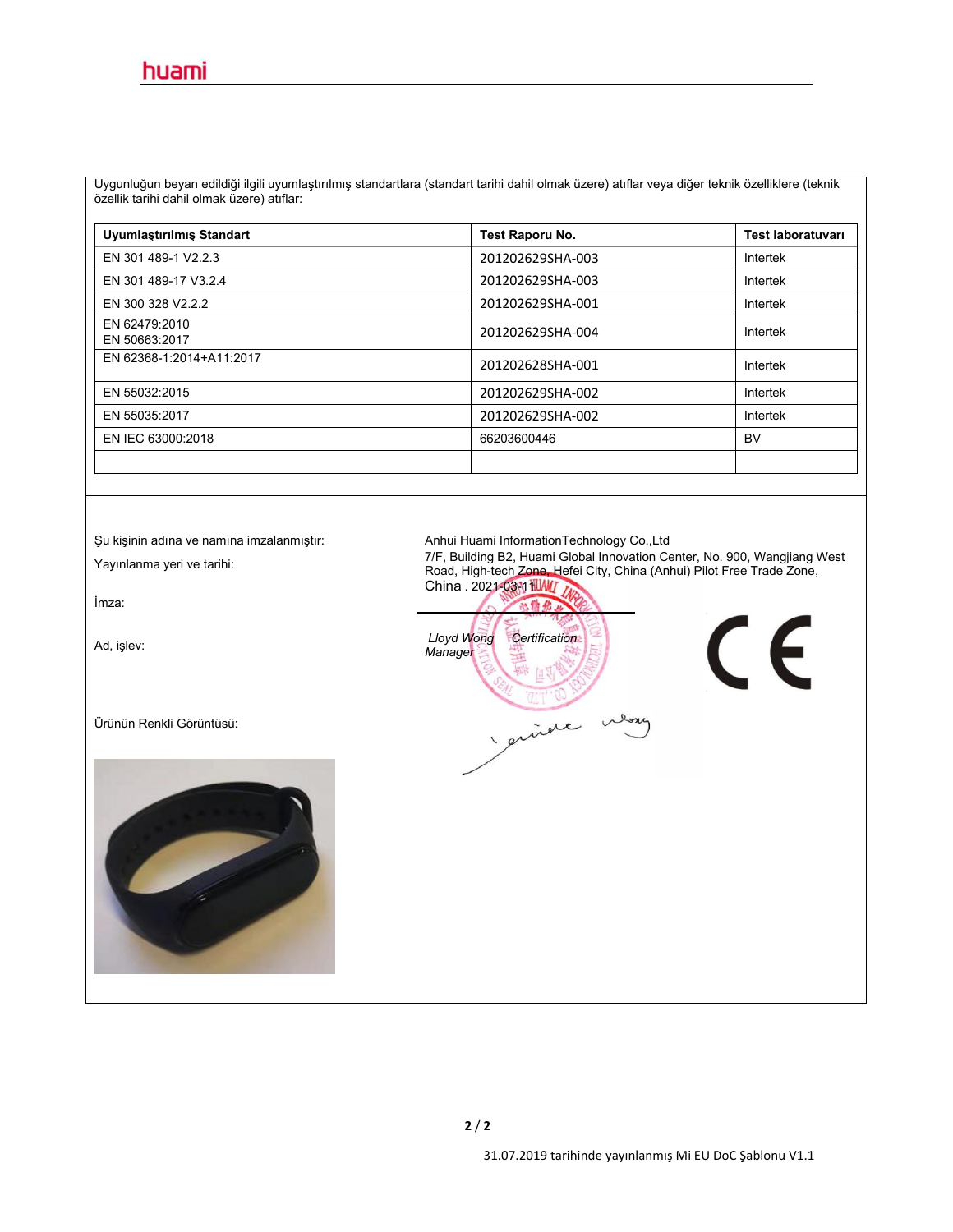Uygunluğun beyan edildiğiilgili uyumlaştırılmış standartlara (standart tarihi dahil olmak üzere) atıflar veya diğer teknik özelliklere (teknik özellik tarihi dahil olmak üzere) atıflar:

| Uyumlaştırılmış Standart       | Test Raporu No.  | <b>Test laboratuvari</b> |
|--------------------------------|------------------|--------------------------|
| EN 301 489-1 V2.2.3            | 201202629SHA-003 | Intertek                 |
| EN 301 489-17 V3.2.4           | 201202629SHA-003 | Intertek                 |
| EN 300 328 V2.2.2              | 201202629SHA-001 | Intertek                 |
| EN 62479:2010<br>EN 50663:2017 | 201202629SHA-004 | Intertek                 |
| EN 62368-1:2014+A11:2017       | 201202628SHA-001 | Intertek                 |
| EN 55032:2015                  | 201202629SHA-002 | Intertek                 |
| EN 55035:2017                  | 201202629SHA-002 | Intertek                 |
| EN IEC 63000:2018              | 66203600446      | <b>BV</b>                |
|                                |                  |                          |

İmza:

Ürünün Renkli Görüntüsü:



Şu kişinin adına ve namına imzalanmıştır: Anhui Huami InformationTechnology Co.,Ltd

Yayınlanma yeri ve tarihi: 7/F, Building B2, Huami Global Innovation Center, No. 900, Wangjiang West<br>Road High-tech Zone-Hefei City, China (Anhui) Pilot Free Trade Zone Road, High-tech Zone, Hefei City, China (Anhui) Pilot Free Trade Zone, Road, High-tech<br>China . 2021<mark>-03511III/W/7</mark>77

Ad, işlev: *Lloyd Wong Certification Manager* guide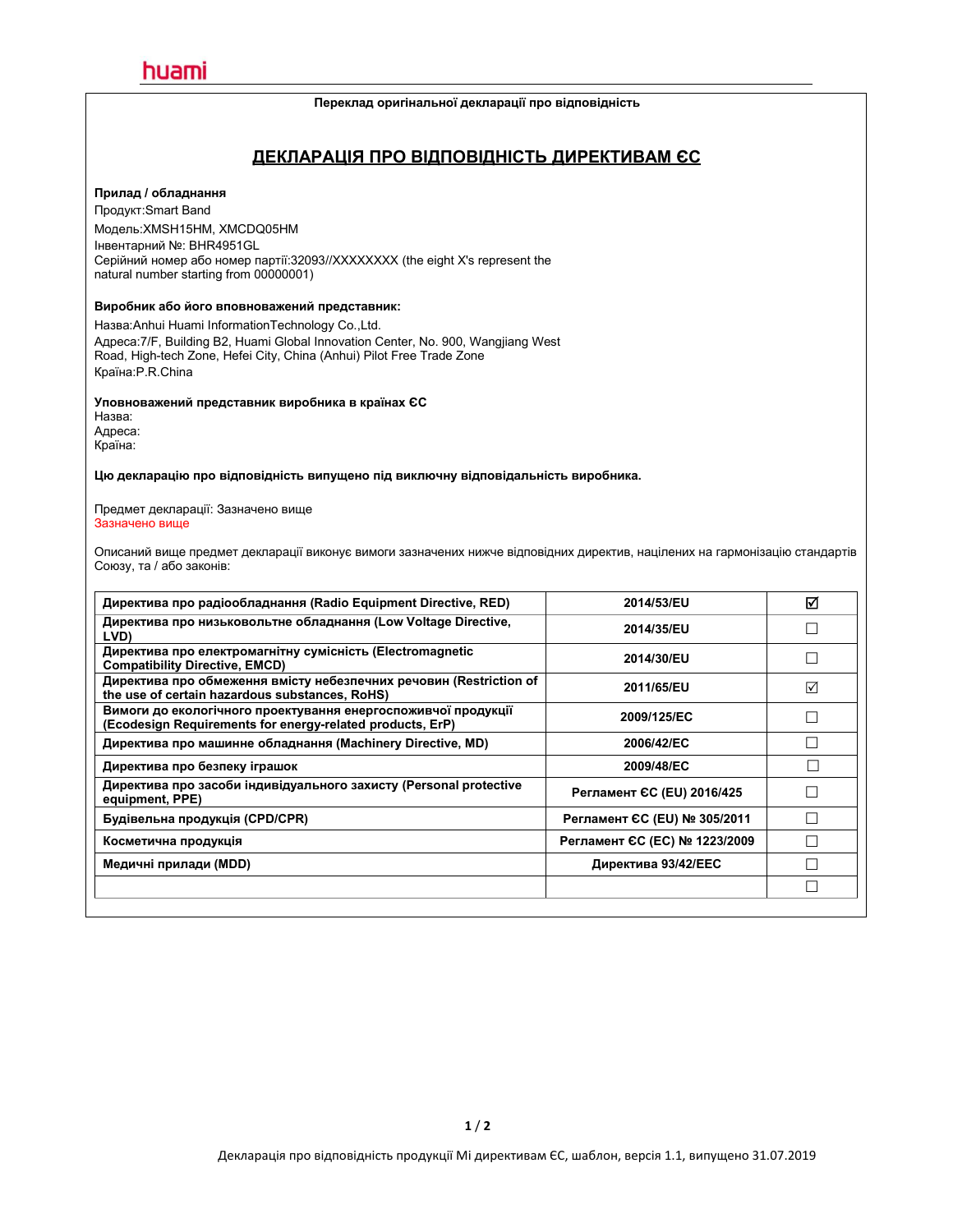#### **Переклад оригінальної декларації про відповідність**

### **ДЕКЛАРАЦІЯ ПРО ВІДПОВІДНІСТЬ ДИРЕКТИВАМ ЄС**

#### **Прилад / обладнання**

Продукт:Smart Band Модель:XMSH15HM, XMCDQ05HM Інвентарний №: BHR4951GL Серійний номер або номер партії:32093//XXXXXXXX (the eight X's represent the natural number starting from 00000001)

#### **Виробник або його вповноважений представник:**

Назва:Anhui Huami InformationTechnology Co.,Ltd. Адреса:7/F, Building B2, Huami Global Innovation Center, No.900, Wangjiang West Road, High-tech Zone, Hefei City, China (Anhui) Pilot Free Trade Zone Країна:P.R.China

#### **Уповноважений представник виробника в країнах ЄС**

Назва: Адреса: Країна:

**Цю декларацію про відповідність випущено під виключну відповідальність виробника.**

Предмет декларації: Зазначено вище Зазначено вище

Описаний вище предмет декларації виконує вимоги зазначених нижче відповідних директив, націлених на гармонізацію стандартів Союзу, та / або законів:

| Директива про радіообладнання (Radio Equipment Directive, RED)<br>2014/53/EU                                                              | ☑ |
|-------------------------------------------------------------------------------------------------------------------------------------------|---|
| Директива про низьковольтне обладнання (Low Voltage Directive,<br>2014/35/EU<br>LVD)                                                      |   |
| Директива про електромагнітну сумісність (Electromagnetic<br>2014/30/EU<br><b>Compatibility Directive, EMCD)</b>                          |   |
| Директива про обмеження вмісту небезпечних речовин (Restriction of<br>2011/65/EU<br>the use of certain hazardous substances, RoHS)        | ☑ |
| Вимоги до екологічного проектування енергоспоживчої продукції<br>2009/125/EC<br>(Ecodesign Requirements for energy-related products, ErP) |   |
| Директива про машинне обладнання (Machinery Directive, MD)<br>2006/42/EC                                                                  |   |
| Директива про безпеку іграшок<br>2009/48/EC                                                                                               |   |
| Директива про засоби індивідуального захисту (Personal protective<br>Регламент СС (EU) 2016/425<br>equipment, PPE)                        |   |
| Регламент ЄС (EU) № 305/2011<br>Будівельна продукція (CPD/CPR)                                                                            |   |
| Регламент ЄС (ЕС) № 1223/2009<br>Косметична продукція                                                                                     |   |
| Директива 93/42/ЕЕС<br>Медичні прилади (MDD)                                                                                              |   |
|                                                                                                                                           |   |
|                                                                                                                                           |   |